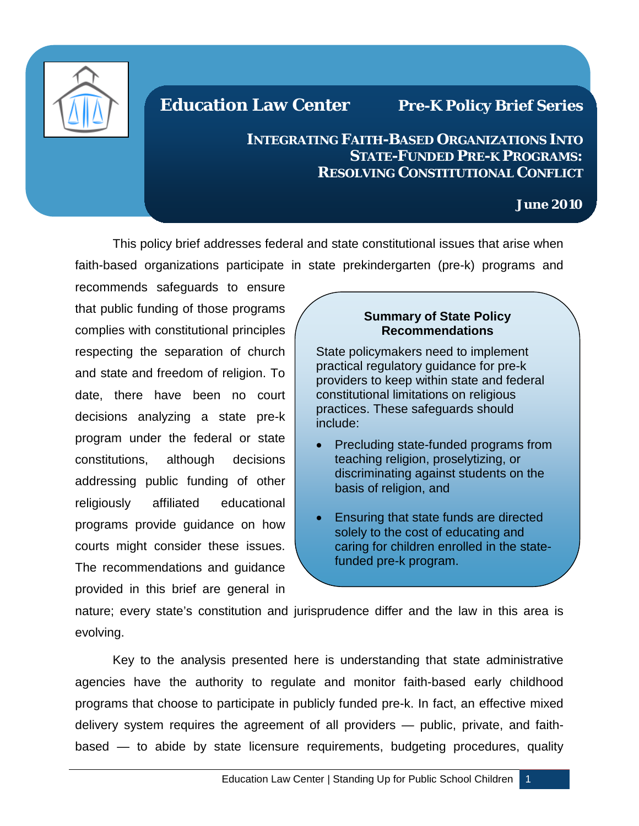

# **Education Law Center Pre-K Policy Brief Series**

**INTEGRATING FAITH-BASED ORGANIZATIONS INTO STATE-FUNDED PRE-K PROGRAMS: RESOLVING CONSTITUTIONAL CONFLICT**

#### **June 2010**

This policy brief addresses federal and state constitutional issues that arise when faith-based organizations participate in state prekindergarten (pre-k) programs and

recommends safeguards to ensure that public funding of those programs complies with constitutional principles respecting the separation of church and state and freedom of religion. To date, there have been no court decisions analyzing a state pre-k program under the federal or state constitutions, although decisions addressing public funding of other religiously affiliated educational programs provide guidance on how courts might consider these issues. The recommendations and guidance provided in this brief are general in

#### **Summary of State Policy Recommendations**

State policymakers need to implement practical regulatory guidance for pre-k providers to keep within state and federal constitutional limitations on religious practices. These safeguards should include:

- Precluding state-funded programs from teaching religion, proselytizing, or discriminating against students on the basis of religion, and
- Ensuring that state funds are directed solely to the cost of educating and caring for children enrolled in the statefunded pre-k program.

nature; every state's constitution and jurisprudence differ and the law in this area is evolving.

Key to the analysis presented here is understanding that state administrative agencies have the authority to regulate and monitor faith-based early childhood programs that choose to participate in publicly funded pre-k. In fact, an effective mixed delivery system requires the agreement of all providers — public, private, and faithbased — to abide by state licensure requirements, budgeting procedures, quality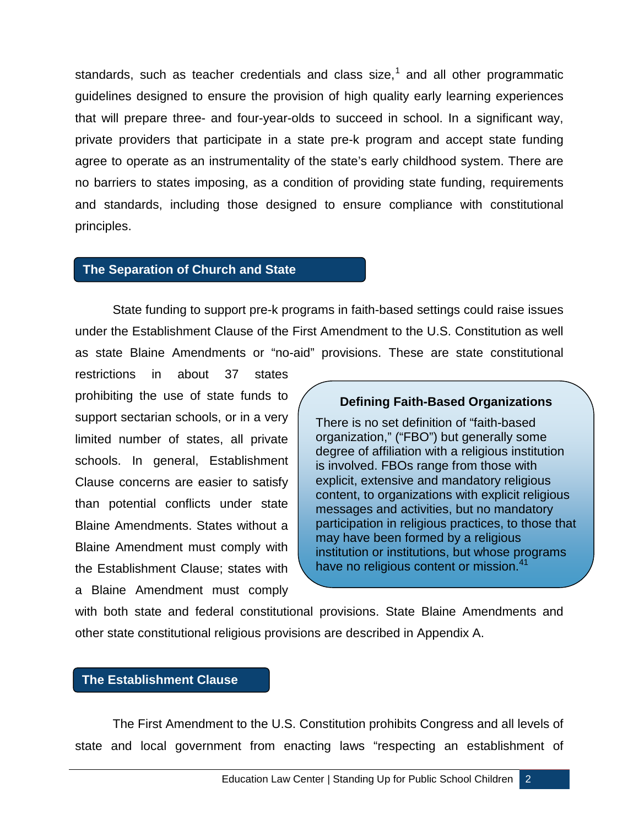standards, such as teacher credentials and class size, $1$  and all other programmatic guidelines designed to ensure the provision of high quality early learning experiences that will prepare three- and four-year-olds to succeed in school. In a significant way, private providers that participate in a state pre-k program and accept state funding agree to operate as an instrumentality of the state's early childhood system. There are no barriers to states imposing, as a condition of providing state funding, requirements and standards, including those designed to ensure compliance with constitutional principles.

#### **The Separation of Church and State**

State funding to support pre-k programs in faith-based settings could raise issues under the Establishment Clause of the First Amendment to the U.S. Constitution as well as state Blaine Amendments or "no-aid" provisions. These are state constitutional

restrictions in about 37 states prohibiting the use of state funds to support sectarian schools, or in a very limited number of states, all private schools. In general, Establishment Clause concerns are easier to satisfy than potential conflicts under state Blaine Amendments. States without a Blaine Amendment must comply with the Establishment Clause; states with a Blaine Amendment must comply

#### **Defining Faith-Based Organizations**

There is no set definition of "faith-based organization," ("FBO") but generally some degree of affiliation with a religious institution is involved. FBOs range from those with explicit, extensive and mandatory religious content, to organizations with explicit religious messages and activities, but no mandatory participation in religious practices, to those that may have been formed by a religious institution or institutions, but whose programs have no religious content or mission.<sup>41</sup>

with both state and federal constitutional provisions. State Blaine Amendments and other state constitutional religious provisions are described in Appendix A.

#### **The Establishment Clause**

The First Amendment to the U.S. Constitution prohibits Congress and all levels of state and local government from enacting laws "respecting an establishment of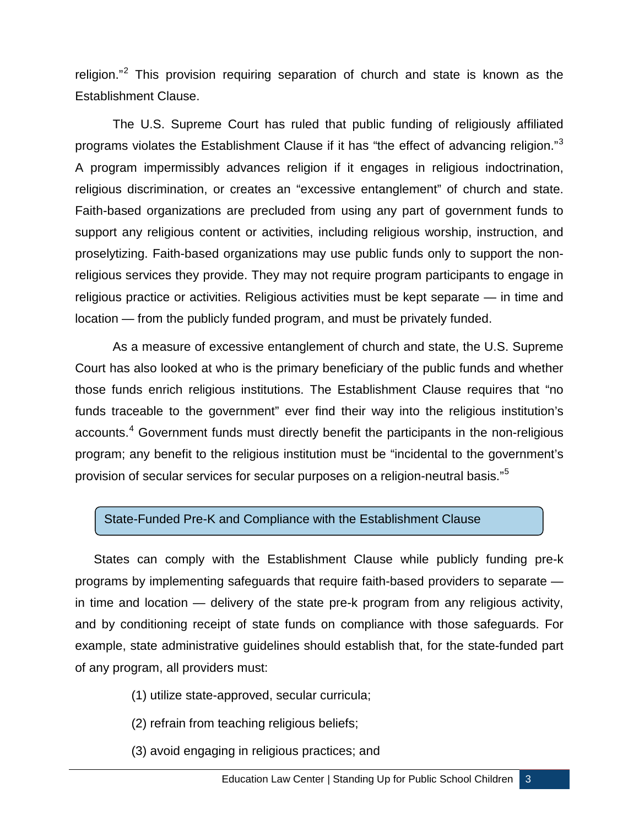religion."<sup>[2](#page-19-1)</sup> This provision requiring separation of church and state is known as the Establishment Clause.

The U.S. Supreme Court has ruled that public funding of religiously affiliated programs violates the Establishment Clause if it has "the effect of advancing religion."<sup>[3](#page-19-2)</sup> A program impermissibly advances religion if it engages in religious indoctrination, religious discrimination, or creates an "excessive entanglement" of church and state. Faith-based organizations are precluded from using any part of government funds to support any religious content or activities, including religious worship, instruction, and proselytizing. Faith-based organizations may use public funds only to support the nonreligious services they provide. They may not require program participants to engage in religious practice or activities. Religious activities must be kept separate — in time and location — from the publicly funded program, and must be privately funded.

As a measure of excessive entanglement of church and state, the U.S. Supreme Court has also looked at who is the primary beneficiary of the public funds and whether those funds enrich religious institutions. The Establishment Clause requires that "no funds traceable to the government" ever find their way into the religious institution's accounts.<sup>[4](#page-19-3)</sup> Government funds must directly benefit the participants in the non-religious program; any benefit to the religious institution must be "incidental to the government's provision of secular services for secular purposes on a religion-neutral basis."[5](#page-19-4)

#### State-Funded Pre-K and Compliance with the Establishment Clause

States can comply with the Establishment Clause while publicly funding pre-k programs by implementing safeguards that require faith-based providers to separate in time and location — delivery of the state pre-k program from any religious activity, and by conditioning receipt of state funds on compliance with those safeguards. For example, state administrative guidelines should establish that, for the state-funded part of any program, all providers must:

- (1) utilize state-approved, secular curricula;
- (2) refrain from teaching religious beliefs;
- (3) avoid engaging in religious practices; and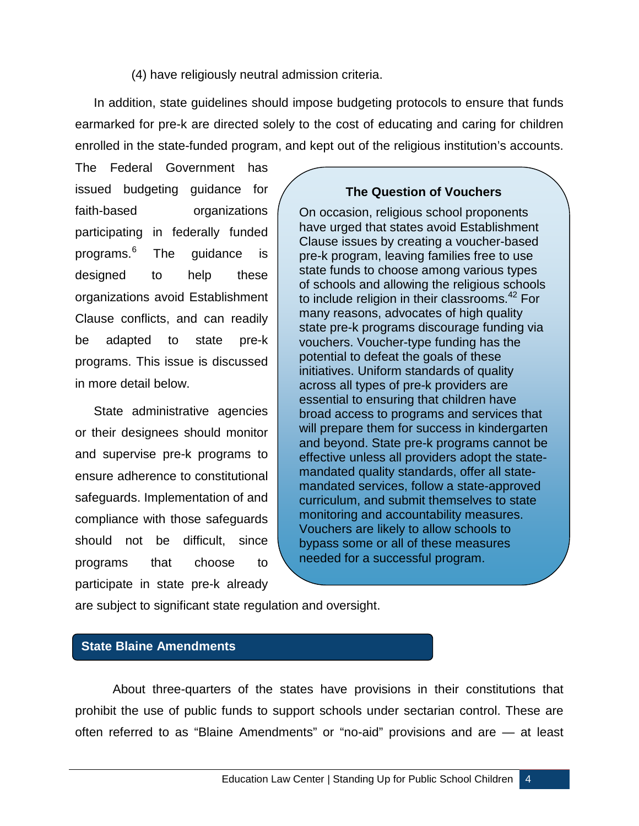(4) have religiously neutral admission criteria.

In addition, state guidelines should impose budgeting protocols to ensure that funds earmarked for pre-k are directed solely to the cost of educating and caring for children enrolled in the state-funded program, and kept out of the religious institution's accounts.

The Federal Government has issued budgeting guidance for faith-based organizations participating in federally funded programs.<sup>[6](#page-19-5)</sup> The guidance is designed to help these organizations avoid Establishment Clause conflicts, and can readily be adapted to state pre-k programs. This issue is discussed in more detail below.

State administrative agencies or their designees should monitor and supervise pre-k programs to ensure adherence to constitutional safeguards. Implementation of and compliance with those safeguards should not be difficult, since programs that choose to participate in state pre-k already

#### **The Question of Vouchers**

On occasion, religious school proponents have urged that states avoid Establishment Clause issues by creating a voucher-based pre-k program, leaving families free to use state funds to choose among various types of schools and allowing the religious schools to include religion in their classrooms.<sup>42</sup> For many reasons, advocates of high quality state pre-k programs discourage funding via vouchers. Voucher-type funding has the potential to defeat the goals of these initiatives. Uniform standards of quality across all types of pre-k providers are essential to ensuring that children have broad access to programs and services that will prepare them for success in kindergarten and beyond. State pre-k programs cannot be effective unless all providers adopt the statemandated quality standards, offer all statemandated services, follow a state-approved curriculum, and submit themselves to state monitoring and accountability measures. Vouchers are likely to allow schools to bypass some or all of these measures needed for a successful program.

are subject to significant state regulation and oversight.

#### **State Blaine Amendments**

About three-quarters of the states have provisions in their constitutions that prohibit the use of public funds to support schools under sectarian control. These are often referred to as "Blaine Amendments" or "no-aid" provisions and are — at least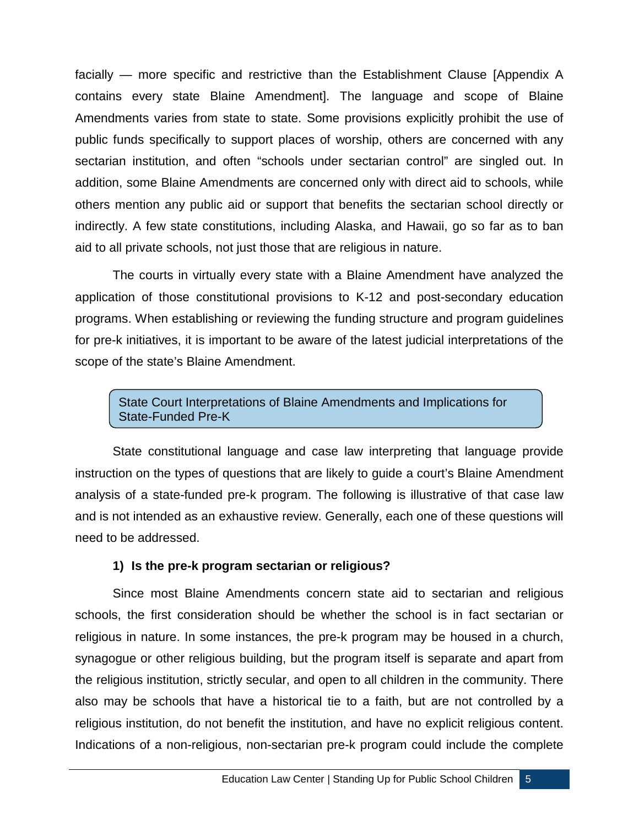facially — more specific and restrictive than the Establishment Clause [Appendix A contains every state Blaine Amendment]. The language and scope of Blaine Amendments varies from state to state. Some provisions explicitly prohibit the use of public funds specifically to support places of worship, others are concerned with any sectarian institution, and often "schools under sectarian control" are singled out. In addition, some Blaine Amendments are concerned only with direct aid to schools, while others mention any public aid or support that benefits the sectarian school directly or indirectly. A few state constitutions, including Alaska, and Hawaii, go so far as to ban aid to all private schools, not just those that are religious in nature.

The courts in virtually every state with a Blaine Amendment have analyzed the application of those constitutional provisions to K-12 and post-secondary education programs. When establishing or reviewing the funding structure and program guidelines for pre-k initiatives, it is important to be aware of the latest judicial interpretations of the scope of the state's Blaine Amendment.

# State Court Interpretations of Blaine Amendments and Implications for State-Funded Pre-K

State constitutional language and case law interpreting that language provide instruction on the types of questions that are likely to guide a court's Blaine Amendment analysis of a state-funded pre-k program. The following is illustrative of that case law and is not intended as an exhaustive review. Generally, each one of these questions will need to be addressed.

# **1) Is the pre-k program sectarian or religious?**

Since most Blaine Amendments concern state aid to sectarian and religious schools, the first consideration should be whether the school is in fact sectarian or religious in nature. In some instances, the pre-k program may be housed in a church, synagogue or other religious building, but the program itself is separate and apart from the religious institution, strictly secular, and open to all children in the community. There also may be schools that have a historical tie to a faith, but are not controlled by a religious institution, do not benefit the institution, and have no explicit religious content. Indications of a non-religious, non-sectarian pre-k program could include the complete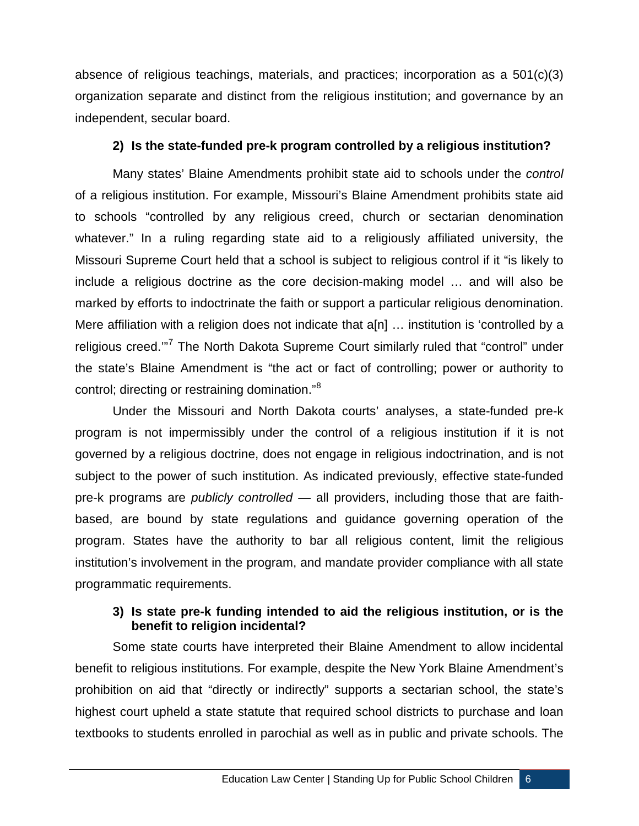absence of religious teachings, materials, and practices; incorporation as a 501(c)(3) organization separate and distinct from the religious institution; and governance by an independent, secular board.

# **2) Is the state-funded pre-k program controlled by a religious institution?**

Many states' Blaine Amendments prohibit state aid to schools under the *control* of a religious institution. For example, Missouri's Blaine Amendment prohibits state aid to schools "controlled by any religious creed, church or sectarian denomination whatever." In a ruling regarding state aid to a religiously affiliated university, the Missouri Supreme Court held that a school is subject to religious control if it "is likely to include a religious doctrine as the core decision-making model … and will also be marked by efforts to indoctrinate the faith or support a particular religious denomination. Mere affiliation with a religion does not indicate that a[n] … institution is 'controlled by a religious creed."<sup>[7](#page-19-6)</sup> The North Dakota Supreme Court similarly ruled that "control" under the state's Blaine Amendment is "the act or fact of controlling; power or authority to control; directing or restraining domination."[8](#page-19-7)

Under the Missouri and North Dakota courts' analyses, a state-funded pre-k program is not impermissibly under the control of a religious institution if it is not governed by a religious doctrine, does not engage in religious indoctrination, and is not subject to the power of such institution. As indicated previously, effective state-funded pre-k programs are *publicly controlled* — all providers, including those that are faithbased, are bound by state regulations and guidance governing operation of the program. States have the authority to bar all religious content, limit the religious institution's involvement in the program, and mandate provider compliance with all state programmatic requirements.

### **3) Is state pre-k funding intended to aid the religious institution, or is the benefit to religion incidental?**

Some state courts have interpreted their Blaine Amendment to allow incidental benefit to religious institutions. For example, despite the New York Blaine Amendment's prohibition on aid that "directly or indirectly" supports a sectarian school, the state's highest court upheld a state statute that required school districts to purchase and loan textbooks to students enrolled in parochial as well as in public and private schools. The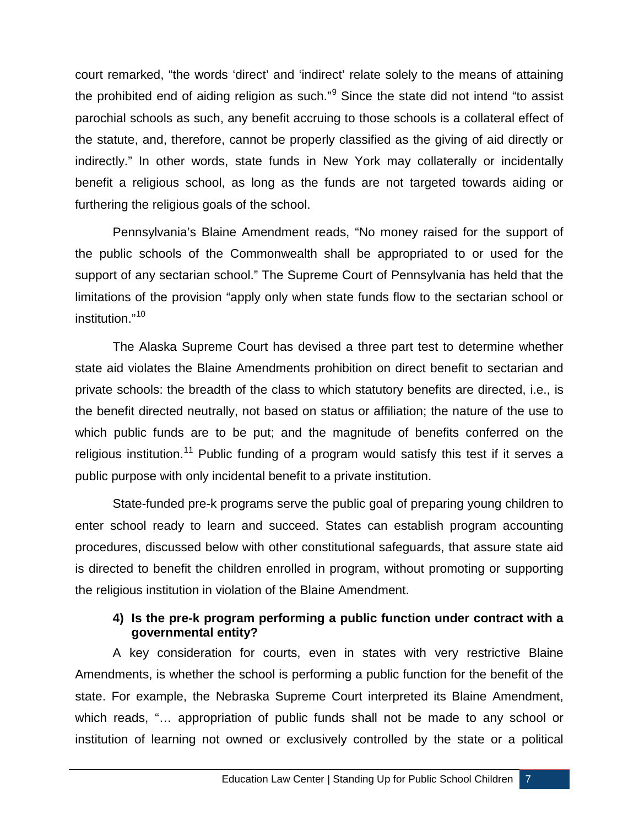court remarked, "the words 'direct' and 'indirect' relate solely to the means of attaining the prohibited end of aiding religion as such."<sup>[9](#page-19-8)</sup> Since the state did not intend "to assist parochial schools as such, any benefit accruing to those schools is a collateral effect of the statute, and, therefore, cannot be properly classified as the giving of aid directly or indirectly." In other words, state funds in New York may collaterally or incidentally benefit a religious school, as long as the funds are not targeted towards aiding or furthering the religious goals of the school.

Pennsylvania's Blaine Amendment reads, "No money raised for the support of the public schools of the Commonwealth shall be appropriated to or used for the support of any sectarian school." The Supreme Court of Pennsylvania has held that the limitations of the provision "apply only when state funds flow to the sectarian school or institution." [10](#page-19-9)

The Alaska Supreme Court has devised a three part test to determine whether state aid violates the Blaine Amendments prohibition on direct benefit to sectarian and private schools: the breadth of the class to which statutory benefits are directed, i.e., is the benefit directed neutrally, not based on status or affiliation; the nature of the use to which public funds are to be put; and the magnitude of benefits conferred on the religious institution.<sup>[11](#page-19-10)</sup> Public funding of a program would satisfy this test if it serves a public purpose with only incidental benefit to a private institution.

State-funded pre-k programs serve the public goal of preparing young children to enter school ready to learn and succeed. States can establish program accounting procedures, discussed below with other constitutional safeguards, that assure state aid is directed to benefit the children enrolled in program, without promoting or supporting the religious institution in violation of the Blaine Amendment.

### **4) Is the pre-k program performing a public function under contract with a governmental entity?**

A key consideration for courts, even in states with very restrictive Blaine Amendments, is whether the school is performing a public function for the benefit of the state. For example, the Nebraska Supreme Court interpreted its Blaine Amendment, which reads, "… appropriation of public funds shall not be made to any school or institution of learning not owned or exclusively controlled by the state or a political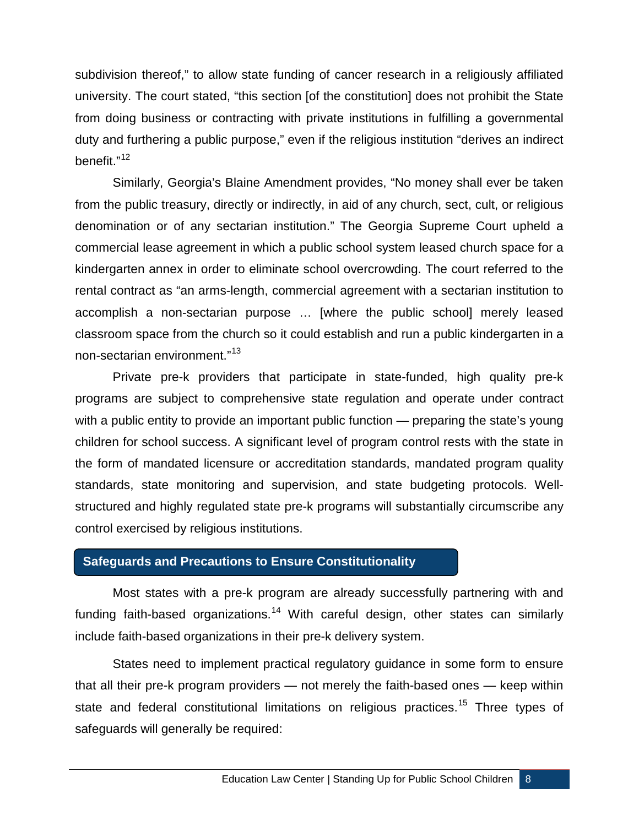subdivision thereof," to allow state funding of cancer research in a religiously affiliated university. The court stated, "this section [of the constitution] does not prohibit the State from doing business or contracting with private institutions in fulfilling a governmental duty and furthering a public purpose," even if the religious institution "derives an indirect benefit."<sup>[12](#page-19-11)</sup>

Similarly, Georgia's Blaine Amendment provides, "No money shall ever be taken from the public treasury, directly or indirectly, in aid of any church, sect, cult, or religious denomination or of any sectarian institution." The Georgia Supreme Court upheld a commercial lease agreement in which a public school system leased church space for a kindergarten annex in order to eliminate school overcrowding. The court referred to the rental contract as "an arms-length, commercial agreement with a sectarian institution to accomplish a non-sectarian purpose … [where the public school] merely leased classroom space from the church so it could establish and run a public kindergarten in a non-sectarian environment."[13](#page-19-12)

Private pre-k providers that participate in state-funded, high quality pre-k programs are subject to comprehensive state regulation and operate under contract with a public entity to provide an important public function — preparing the state's young children for school success. A significant level of program control rests with the state in the form of mandated licensure or accreditation standards, mandated program quality standards, state monitoring and supervision, and state budgeting protocols. Wellstructured and highly regulated state pre-k programs will substantially circumscribe any control exercised by religious institutions.

# **Safeguards and Precautions to Ensure Constitutionality**

Most states with a pre-k program are already successfully partnering with and funding faith-based organizations.<sup>[14](#page-20-0)</sup> With careful design, other states can similarly include faith-based organizations in their pre-k delivery system.

States need to implement practical regulatory guidance in some form to ensure that all their pre-k program providers — not merely the faith-based ones — keep within state and federal constitutional limitations on religious practices.<sup>[15](#page-20-1)</sup> Three types of safeguards will generally be required: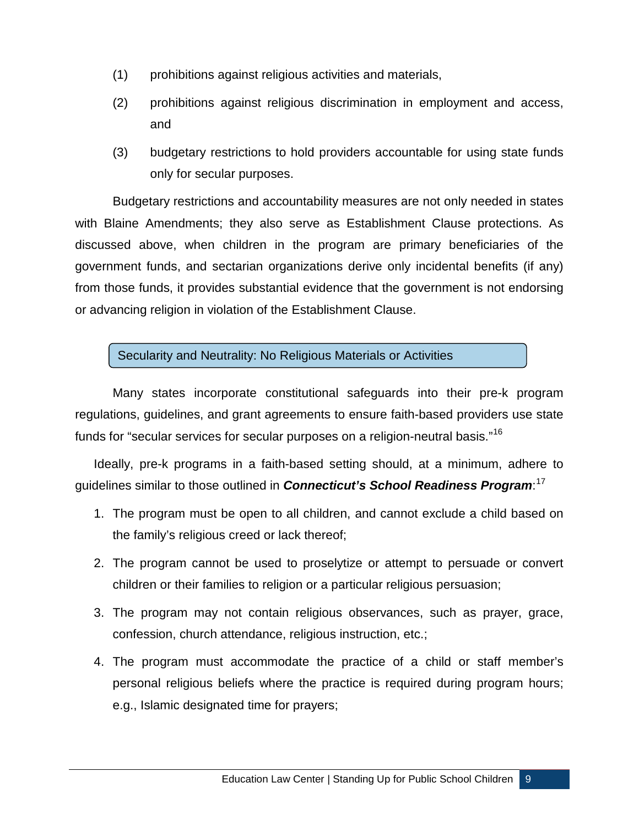- (1) prohibitions against religious activities and materials,
- (2) prohibitions against religious discrimination in employment and access, and
- (3) budgetary restrictions to hold providers accountable for using state funds only for secular purposes.

Budgetary restrictions and accountability measures are not only needed in states with Blaine Amendments; they also serve as Establishment Clause protections. As discussed above, when children in the program are primary beneficiaries of the government funds, and sectarian organizations derive only incidental benefits (if any) from those funds, it provides substantial evidence that the government is not endorsing or advancing religion in violation of the Establishment Clause.

# Secularity and Neutrality: No Religious Materials or Activities

Many states incorporate constitutional safeguards into their pre-k program regulations, guidelines, and grant agreements to ensure faith-based providers use state funds for "secular services for secular purposes on a religion-neutral basis."[16](#page-20-2)

Ideally, pre-k programs in a faith-based setting should, at a minimum, adhere to guidelines similar to those outlined in *Connecticut's School Readiness Program*: [17](#page-20-3)

- 1. The program must be open to all children, and cannot exclude a child based on the family's religious creed or lack thereof;
- 2. The program cannot be used to proselytize or attempt to persuade or convert children or their families to religion or a particular religious persuasion;
- 3. The program may not contain religious observances, such as prayer, grace, confession, church attendance, religious instruction, etc.;
- 4. The program must accommodate the practice of a child or staff member's personal religious beliefs where the practice is required during program hours; e.g., Islamic designated time for prayers;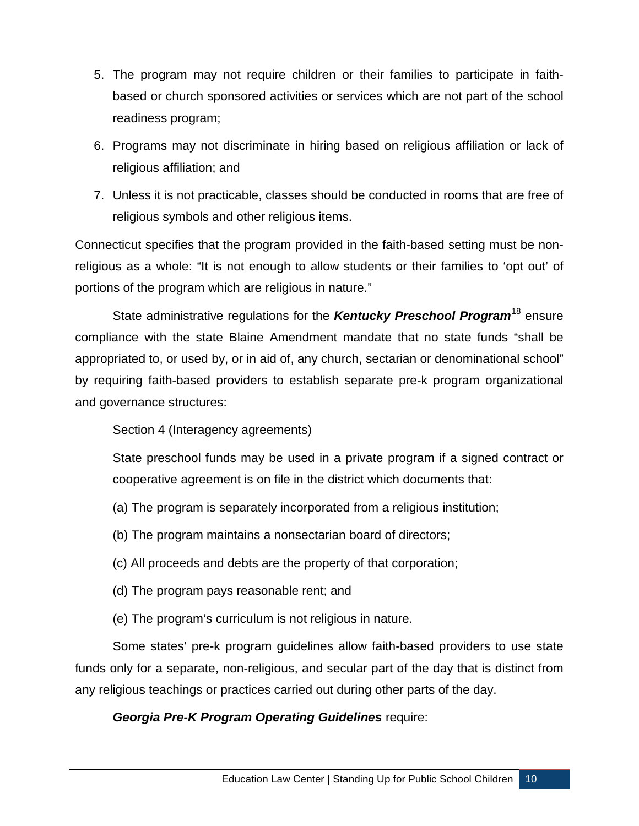- 5. The program may not require children or their families to participate in faithbased or church sponsored activities or services which are not part of the school readiness program;
- 6. Programs may not discriminate in hiring based on religious affiliation or lack of religious affiliation; and
- 7. Unless it is not practicable, classes should be conducted in rooms that are free of religious symbols and other religious items.

Connecticut specifies that the program provided in the faith-based setting must be nonreligious as a whole: "It is not enough to allow students or their families to 'opt out' of portions of the program which are religious in nature."

State administrative regulations for the *Kentucky Preschool Program*<sup>[18](#page-20-4)</sup> ensure compliance with the state Blaine Amendment mandate that no state funds "shall be appropriated to, or used by, or in aid of, any church, sectarian or denominational school" by requiring faith-based providers to establish separate pre-k program organizational and governance structures:

Section 4 (Interagency agreements)

State preschool funds may be used in a private program if a signed contract or cooperative agreement is on file in the district which documents that:

- (a) The program is separately incorporated from a religious institution;
- (b) The program maintains a nonsectarian board of directors;
- (c) All proceeds and debts are the property of that corporation;
- (d) The program pays reasonable rent; and
- (e) The program's curriculum is not religious in nature.

Some states' pre-k program guidelines allow faith-based providers to use state funds only for a separate, non-religious, and secular part of the day that is distinct from any religious teachings or practices carried out during other parts of the day.

# *Georgia Pre-K Program Operating Guidelines* require: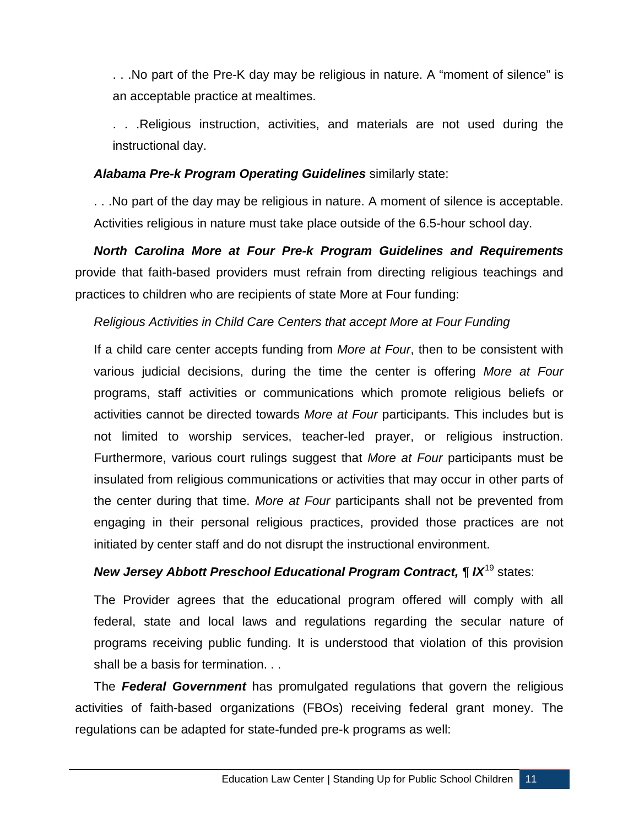. . .No part of the Pre-K day may be religious in nature. A "moment of silence" is an acceptable practice at mealtimes.

. . .Religious instruction, activities, and materials are not used during the instructional day.

#### *Alabama Pre-k Program Operating Guidelines* similarly state:

. . .No part of the day may be religious in nature. A moment of silence is acceptable. Activities religious in nature must take place outside of the 6.5-hour school day.

*North Carolina More at Four Pre-k Program Guidelines and Requirements* provide that faith-based providers must refrain from directing religious teachings and practices to children who are recipients of state More at Four funding:

# *Religious Activities in Child Care Centers that accept More at Four Funding*

If a child care center accepts funding from *More at Four*, then to be consistent with various judicial decisions, during the time the center is offering *More at Four* programs, staff activities or communications which promote religious beliefs or activities cannot be directed towards *More at Four* participants. This includes but is not limited to worship services, teacher-led prayer, or religious instruction. Furthermore, various court rulings suggest that *More at Four* participants must be insulated from religious communications or activities that may occur in other parts of the center during that time. *More at Four* participants shall not be prevented from engaging in their personal religious practices, provided those practices are not initiated by center staff and do not disrupt the instructional environment.

# **New Jersey Abbott Preschool Educational Program Contract, ¶ IX<sup>[19](#page-20-5)</sup> states:**

The Provider agrees that the educational program offered will comply with all federal, state and local laws and regulations regarding the secular nature of programs receiving public funding. It is understood that violation of this provision shall be a basis for termination. . .

The *Federal Government* has promulgated regulations that govern the religious activities of faith-based organizations (FBOs) receiving federal grant money. The regulations can be adapted for state-funded pre-k programs as well: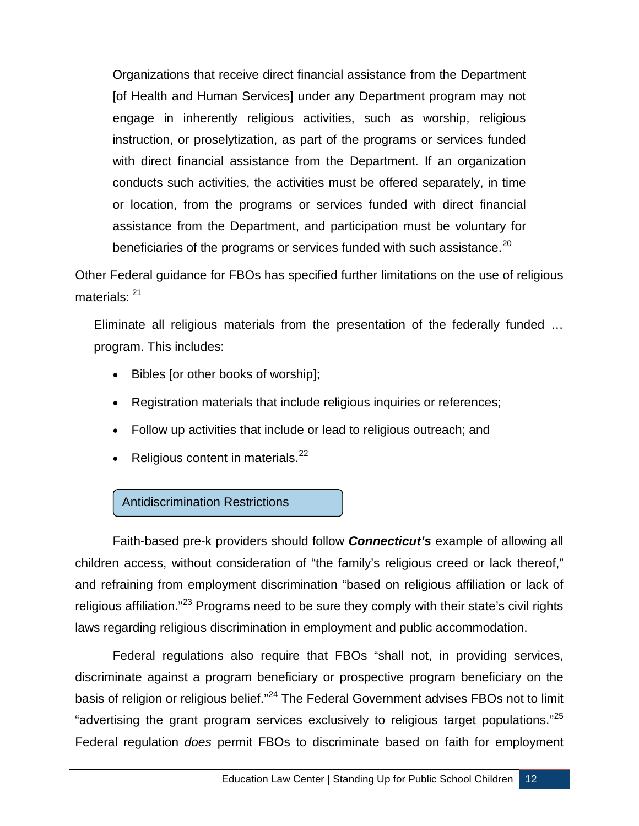Organizations that receive direct financial assistance from the Department [of Health and Human Services] under any Department program may not engage in inherently religious activities, such as worship, religious instruction, or proselytization, as part of the programs or services funded with direct financial assistance from the Department. If an organization conducts such activities, the activities must be offered separately, in time or location, from the programs or services funded with direct financial assistance from the Department, and participation must be voluntary for beneficiaries of the programs or services funded with such assistance.<sup>[20](#page-20-6)</sup>

Other Federal guidance for FBOs has specified further limitations on the use of religious materials: <sup>[21](#page-20-7)</sup>

Eliminate all religious materials from the presentation of the federally funded … program. This includes:

- Bibles [or other books of worship];
- Registration materials that include religious inquiries or references;
- Follow up activities that include or lead to religious outreach; and
- Religious content in materials. $^{22}$  $^{22}$  $^{22}$

# Antidiscrimination Restrictions

Faith-based pre-k providers should follow *Connecticut's* example of allowing all children access, without consideration of "the family's religious creed or lack thereof," and refraining from employment discrimination "based on religious affiliation or lack of religious affiliation."<sup>[23](#page-20-9)</sup> Programs need to be sure they comply with their state's civil rights laws regarding religious discrimination in employment and public accommodation.

Federal regulations also require that FBOs "shall not, in providing services, discriminate against a program beneficiary or prospective program beneficiary on the basis of religion or religious belief."<sup>[24](#page-20-10)</sup> The Federal Government advises FBOs not to limit "advertising the grant program services exclusively to religious target populations."<sup>[25](#page-20-11)</sup> Federal regulation *does* permit FBOs to discriminate based on faith for employment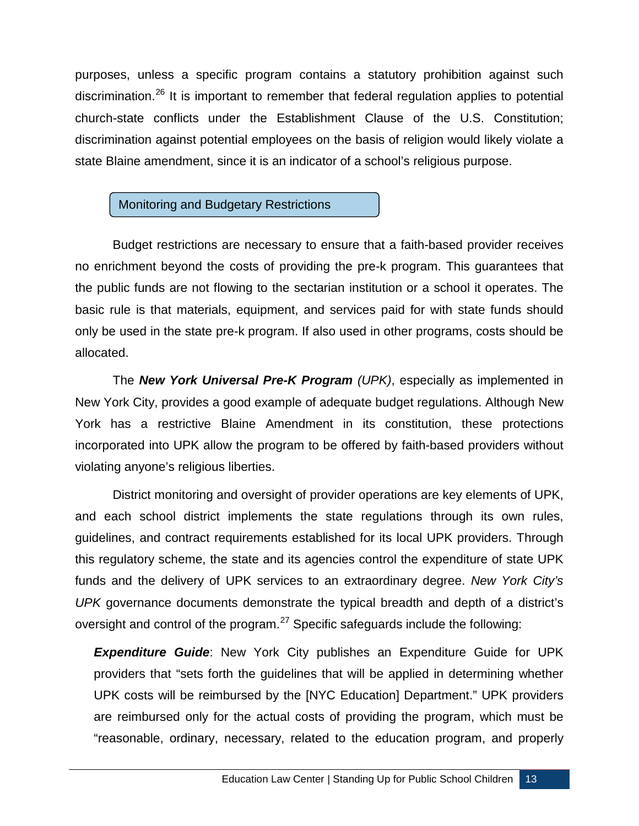purposes, unless a specific program contains a statutory prohibition against such discrimination.[26](#page-20-12) It is important to remember that federal regulation applies to potential church-state conflicts under the Establishment Clause of the U.S. Constitution; discrimination against potential employees on the basis of religion would likely violate a state Blaine amendment, since it is an indicator of a school's religious purpose.

# Monitoring and Budgetary Restrictions

Budget restrictions are necessary to ensure that a faith-based provider receives no enrichment beyond the costs of providing the pre-k program. This guarantees that the public funds are not flowing to the sectarian institution or a school it operates. The basic rule is that materials, equipment, and services paid for with state funds should only be used in the state pre-k program. If also used in other programs, costs should be allocated.

The *New York Universal Pre-K Program (UPK)*, especially as implemented in New York City, provides a good example of adequate budget regulations. Although New York has a restrictive Blaine Amendment in its constitution, these protections incorporated into UPK allow the program to be offered by faith-based providers without violating anyone's religious liberties.

District monitoring and oversight of provider operations are key elements of UPK, and each school district implements the state regulations through its own rules, guidelines, and contract requirements established for its local UPK providers. Through this regulatory scheme, the state and its agencies control the expenditure of state UPK funds and the delivery of UPK services to an extraordinary degree. *New York City's UPK* governance documents demonstrate the typical breadth and depth of a district's oversight and control of the program.<sup>[27](#page-20-13)</sup> Specific safeguards include the following:

*Expenditure Guide*: New York City publishes an Expenditure Guide for UPK providers that "sets forth the guidelines that will be applied in determining whether UPK costs will be reimbursed by the [NYC Education] Department." UPK providers are reimbursed only for the actual costs of providing the program, which must be "reasonable, ordinary, necessary, related to the education program, and properly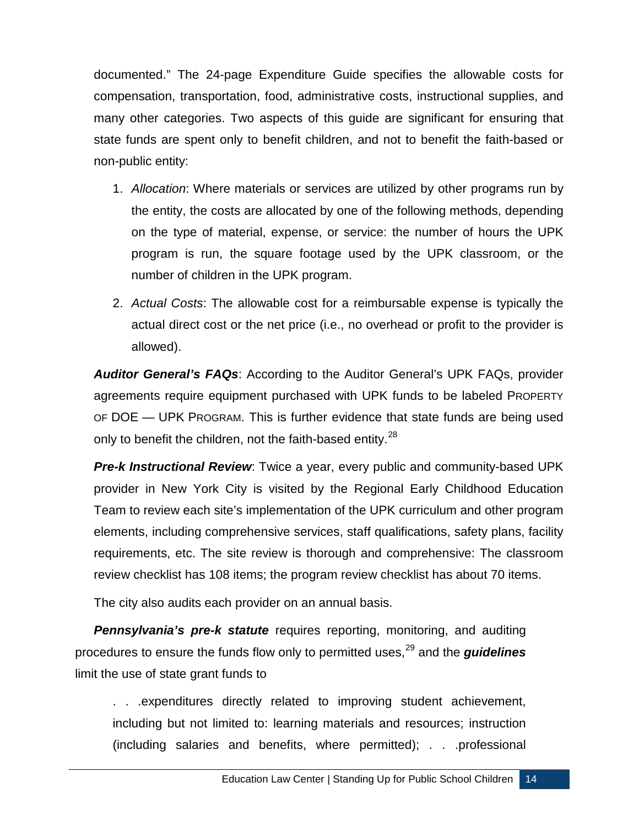documented." The 24-page Expenditure Guide specifies the allowable costs for compensation, transportation, food, administrative costs, instructional supplies, and many other categories. Two aspects of this guide are significant for ensuring that state funds are spent only to benefit children, and not to benefit the faith-based or non-public entity:

- 1. *Allocation*: Where materials or services are utilized by other programs run by the entity, the costs are allocated by one of the following methods, depending on the type of material, expense, or service: the number of hours the UPK program is run, the square footage used by the UPK classroom, or the number of children in the UPK program.
- 2. *Actual Costs*: The allowable cost for a reimbursable expense is typically the actual direct cost or the net price (i.e., no overhead or profit to the provider is allowed).

*Auditor General's FAQs*: According to the Auditor General's UPK FAQs, provider agreements require equipment purchased with UPK funds to be labeled PROPERTY OF DOE — UPK PROGRAM. This is further evidence that state funds are being used only to benefit the children, not the faith-based entity.<sup>[28](#page-20-14)</sup>

*Pre-k Instructional Review*: Twice a year, every public and community-based UPK provider in New York City is visited by the Regional Early Childhood Education Team to review each site's implementation of the UPK curriculum and other program elements, including comprehensive services, staff qualifications, safety plans, facility requirements, etc. The site review is thorough and comprehensive: The classroom review checklist has 108 items; the program review checklist has about 70 items.

The city also audits each provider on an annual basis.

**Pennsylvania's pre-k statute** requires reporting, monitoring, and auditing procedures to ensure the funds flow only to permitted uses,<sup>[29](#page-21-0)</sup> and the *guidelines* limit the use of state grant funds to

. . .expenditures directly related to improving student achievement, including but not limited to: learning materials and resources; instruction (including salaries and benefits, where permitted); . . .professional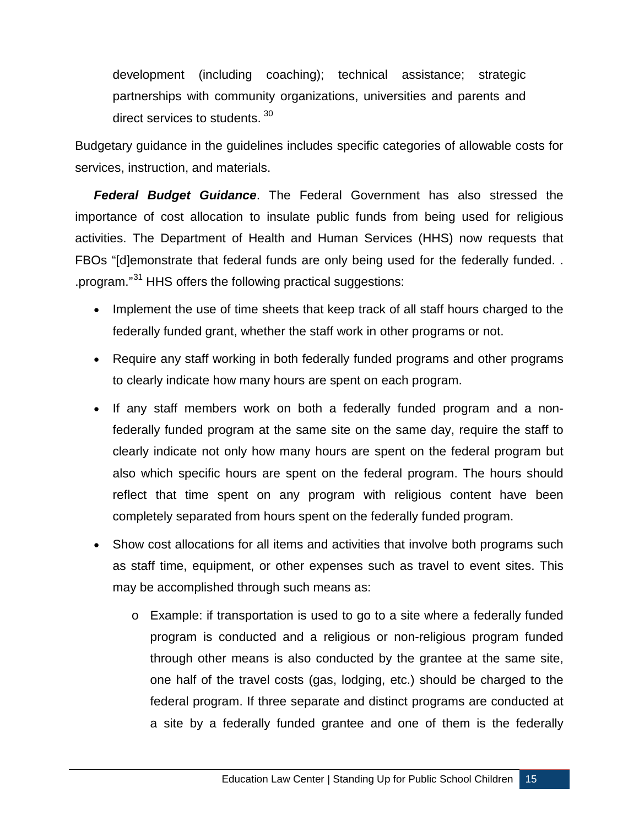development (including coaching); technical assistance; strategic partnerships with community organizations, universities and parents and direct services to students. [30](#page-21-1)

Budgetary guidance in the guidelines includes specific categories of allowable costs for services, instruction, and materials.

*Federal Budget Guidance*. The Federal Government has also stressed the importance of cost allocation to insulate public funds from being used for religious activities. The Department of Health and Human Services (HHS) now requests that FBOs "[d]emonstrate that federal funds are only being used for the federally funded. . .program."[31](#page-21-2) HHS offers the following practical suggestions:

- Implement the use of time sheets that keep track of all staff hours charged to the federally funded grant, whether the staff work in other programs or not.
- Require any staff working in both federally funded programs and other programs to clearly indicate how many hours are spent on each program.
- If any staff members work on both a federally funded program and a nonfederally funded program at the same site on the same day, require the staff to clearly indicate not only how many hours are spent on the federal program but also which specific hours are spent on the federal program. The hours should reflect that time spent on any program with religious content have been completely separated from hours spent on the federally funded program.
- Show cost allocations for all items and activities that involve both programs such as staff time, equipment, or other expenses such as travel to event sites. This may be accomplished through such means as:
	- o Example: if transportation is used to go to a site where a federally funded program is conducted and a religious or non-religious program funded through other means is also conducted by the grantee at the same site, one half of the travel costs (gas, lodging, etc.) should be charged to the federal program. If three separate and distinct programs are conducted at a site by a federally funded grantee and one of them is the federally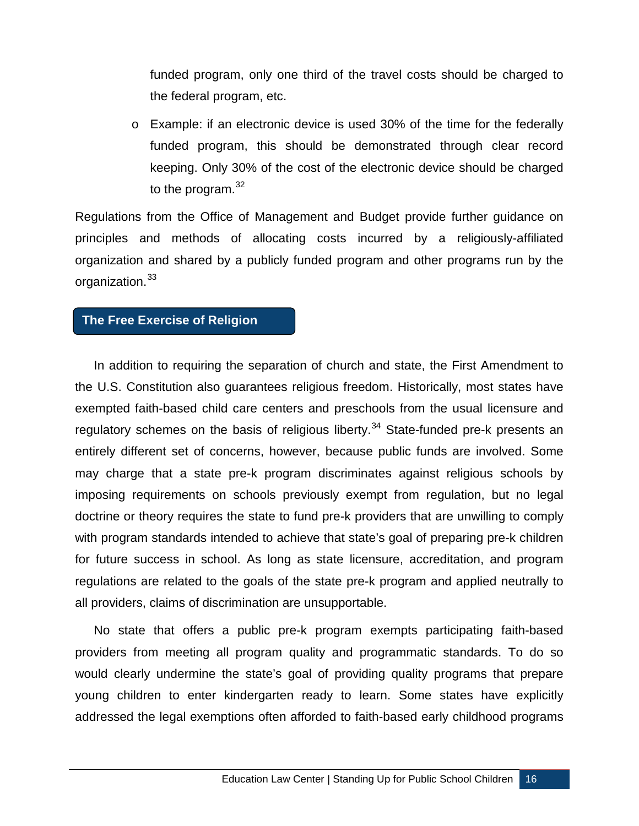funded program, only one third of the travel costs should be charged to the federal program, etc.

o Example: if an electronic device is used 30% of the time for the federally funded program, this should be demonstrated through clear record keeping. Only 30% of the cost of the electronic device should be charged to the program. $32$ 

Regulations from the Office of Management and Budget provide further guidance on principles and methods of allocating costs incurred by a religiously-affiliated organization and shared by a publicly funded program and other programs run by the organization.<sup>[33](#page-21-4)</sup>

### **The Free Exercise of Religion**

In addition to requiring the separation of church and state, the First Amendment to the U.S. Constitution also guarantees religious freedom. Historically, most states have exempted faith-based child care centers and preschools from the usual licensure and regulatory schemes on the basis of religious liberty.<sup>[34](#page-21-5)</sup> State-funded pre-k presents an entirely different set of concerns, however, because public funds are involved. Some may charge that a state pre-k program discriminates against religious schools by imposing requirements on schools previously exempt from regulation, but no legal doctrine or theory requires the state to fund pre-k providers that are unwilling to comply with program standards intended to achieve that state's goal of preparing pre-k children for future success in school. As long as state licensure, accreditation, and program regulations are related to the goals of the state pre-k program and applied neutrally to all providers, claims of discrimination are unsupportable.

No state that offers a public pre-k program exempts participating faith-based providers from meeting all program quality and programmatic standards. To do so would clearly undermine the state's goal of providing quality programs that prepare young children to enter kindergarten ready to learn. Some states have explicitly addressed the legal exemptions often afforded to faith-based early childhood programs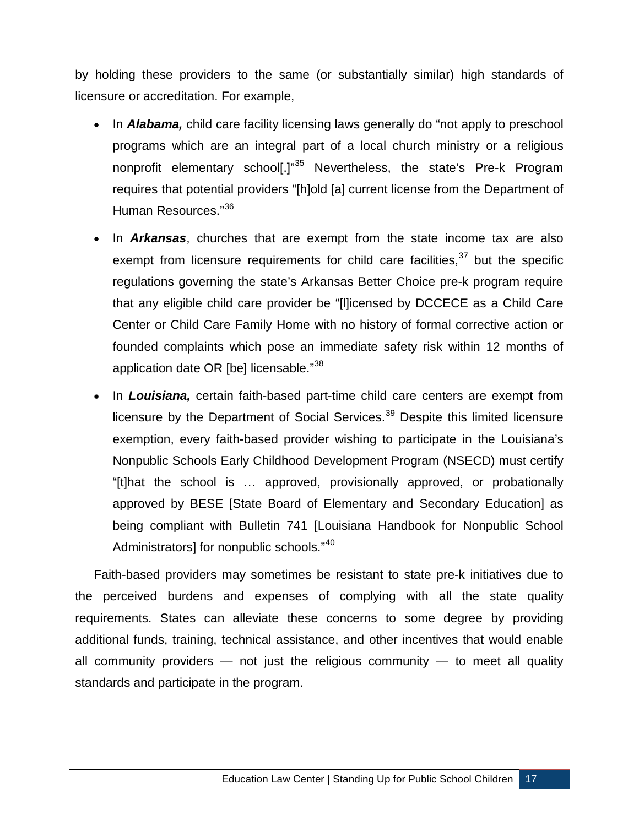by holding these providers to the same (or substantially similar) high standards of licensure or accreditation. For example,

- In *Alabama,* child care facility licensing laws generally do "not apply to preschool programs which are an integral part of a local church ministry or a religious nonprofit elementary school[.]"<sup>[35](#page-21-6)</sup> Nevertheless, the state's Pre-k Program requires that potential providers "[h]old [a] current license from the Department of Human Resources."[36](#page-21-7)
- In *Arkansas*, churches that are exempt from the state income tax are also exempt from licensure requirements for child care facilities,  $37$  but the specific regulations governing the state's Arkansas Better Choice pre-k program require that any eligible child care provider be "[l]icensed by DCCECE as a Child Care Center or Child Care Family Home with no history of formal corrective action or founded complaints which pose an immediate safety risk within 12 months of application date OR [be] licensable."<sup>[38](#page-21-9)</sup>
- In *Louisiana,* certain faith-based part-time child care centers are exempt from licensure by the Department of Social Services.<sup>[39](#page-21-10)</sup> Despite this limited licensure exemption, every faith-based provider wishing to participate in the Louisiana's Nonpublic Schools Early Childhood Development Program (NSECD) must certify "[t]hat the school is … approved, provisionally approved, or probationally approved by BESE [State Board of Elementary and Secondary Education] as being compliant with Bulletin 741 [Louisiana Handbook for Nonpublic School Administrators] for nonpublic schools."<sup>[40](#page-21-11)</sup>

Faith-based providers may sometimes be resistant to state pre-k initiatives due to the perceived burdens and expenses of complying with all the state quality requirements. States can alleviate these concerns to some degree by providing additional funds, training, technical assistance, and other incentives that would enable all community providers  $-$  not just the religious community  $-$  to meet all quality standards and participate in the program.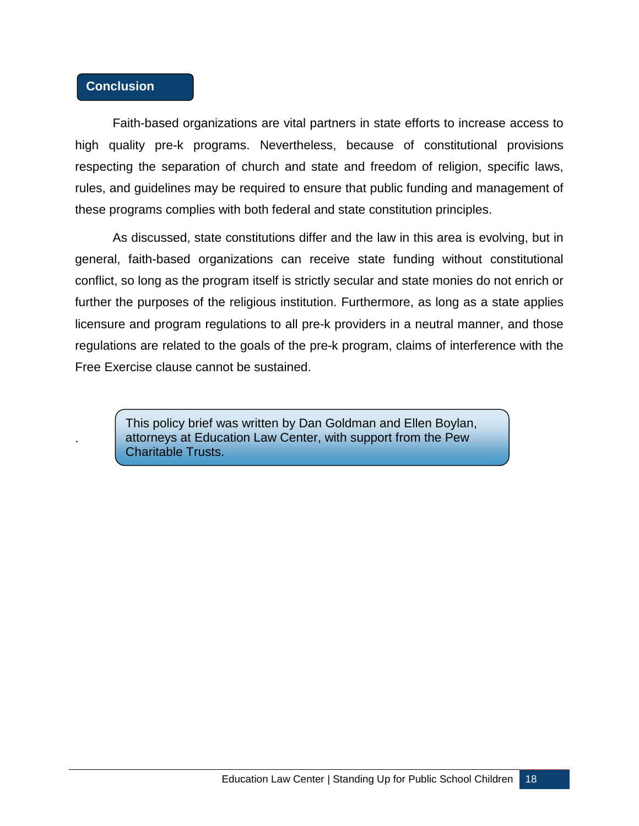### **Conclusion**

.

Faith-based organizations are vital partners in state efforts to increase access to high quality pre-k programs. Nevertheless, because of constitutional provisions respecting the separation of church and state and freedom of religion, specific laws, rules, and guidelines may be required to ensure that public funding and management of these programs complies with both federal and state constitution principles.

As discussed, state constitutions differ and the law in this area is evolving, but in general, faith-based organizations can receive state funding without constitutional conflict, so long as the program itself is strictly secular and state monies do not enrich or further the purposes of the religious institution. Furthermore, as long as a state applies licensure and program regulations to all pre-k providers in a neutral manner, and those regulations are related to the goals of the pre-k program, claims of interference with the Free Exercise clause cannot be sustained.

> This policy brief was written by Dan Goldman and Ellen Boylan, attorneys at Education Law Center, with support from the Pew Charitable Trusts.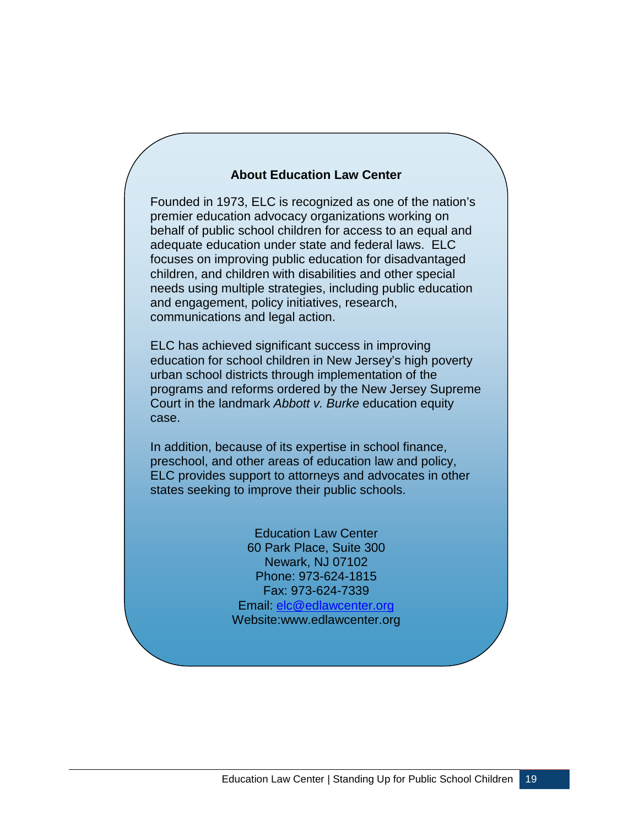#### **About Education Law Center**

Founded in 1973, ELC is recognized as one of the nation's premier education advocacy organizations working on behalf of public school children for access to an equal and adequate education under state and federal laws. ELC focuses on improving public education for disadvantaged children, and children with disabilities and other special needs using multiple strategies, including public education and engagement, policy initiatives, research, communications and legal action.

ELC has achieved significant success in improving education for school children in New Jersey's high poverty urban school districts through implementation of the programs and reforms ordered by the New Jersey Supreme Court in the landmark *Abbott v. Burke* education equity case.

In addition, because of its expertise in school finance, preschool, and other areas of education law and policy, ELC provides support to attorneys and advocates in other states seeking to improve their public schools.

> Education Law Center 60 Park Place, Suite 300 Newark, NJ 07102 Phone: 973-624-1815 Fax: 973-624-7339 Email: [elc@edlawcenter.org](mailto:elc@edlawcenter.org) Website:www.edlawcenter.org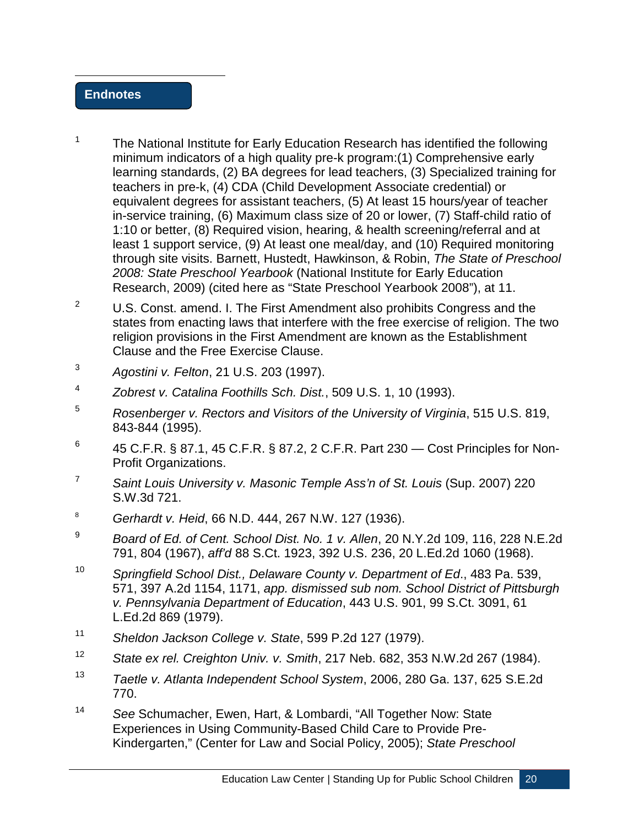#### **Endnotes**

<span id="page-19-0"></span> $\overline{a}$ 

- 1 The National Institute for Early Education Research has identified the following minimum indicators of a high quality pre-k program:(1) Comprehensive early learning standards, (2) BA degrees for lead teachers, (3) Specialized training for teachers in pre-k, (4) CDA (Child Development Associate credential) or equivalent degrees for assistant teachers, (5) At least 15 hours/year of teacher in-service training, (6) Maximum class size of 20 or lower, (7) Staff-child ratio of 1:10 or better, (8) Required vision, hearing, & health screening/referral and at least 1 support service, (9) At least one meal/day, and (10) Required monitoring through site visits. Barnett, Hustedt, Hawkinson, & Robin, *The State of Preschool 2008: State Preschool Yearbook* (National Institute for Early Education Research, 2009) (cited here as "State Preschool Yearbook 2008"), at 11.
- <span id="page-19-1"></span>2 U.S. Const. amend. I. The First Amendment also prohibits Congress and the states from enacting laws that interfere with the free exercise of religion. The two religion provisions in the First Amendment are known as the Establishment Clause and the Free Exercise Clause.
- <span id="page-19-2"></span>3 *Agostini v. Felton*, 21 U.S. 203 (1997).
- <span id="page-19-3"></span>4 *Zobrest v. Catalina Foothills Sch. Dist.*, 509 U.S. 1, 10 (1993).
- <span id="page-19-4"></span>5 *Rosenberger v. Rectors and Visitors of the University of Virginia*, 515 U.S. 819, 843-844 (1995).
- <span id="page-19-5"></span>6 45 C.F.R. § 87.1, 45 C.F.R. § 87.2, 2 C.F.R. Part 230 — Cost Principles for Non-Profit Organizations.
- <span id="page-19-6"></span>7 *Saint Louis University v. Masonic Temple Ass'n of St. Louis* (Sup. 2007) 220 S.W.3d 721.
- <span id="page-19-7"></span>8 *Gerhardt v. Heid*, 66 N.D. 444, 267 N.W. 127 (1936).
- <span id="page-19-8"></span>9 *Board of Ed. of Cent. School Dist. No. 1 v. Allen*, 20 N.Y.2d 109, 116, 228 N.E.2d 791, 804 (1967), *aff'd* 88 S.Ct. 1923, 392 U.S. 236, 20 L.Ed.2d 1060 (1968).
- <span id="page-19-9"></span>10 *Springfield School Dist., Delaware County v. Department of Ed*., 483 Pa. 539, 571, 397 A.2d 1154, 1171, *app. dismissed sub nom. School District of Pittsburgh v. Pennsylvania Department of Education*, 443 U.S. 901, 99 S.Ct. 3091, 61 L.Ed.2d 869 (1979).
- <span id="page-19-10"></span>11 *Sheldon Jackson College v. State*, 599 P.2d 127 (1979).
- <span id="page-19-11"></span>12 *State ex rel. Creighton Univ. v. Smith*, 217 Neb. 682, 353 N.W.2d 267 (1984).
- <span id="page-19-12"></span>13 *Taetle v. Atlanta Independent School System*, 2006, 280 Ga. 137, 625 S.E.2d 770.
- 14 *See* Schumacher, Ewen, Hart, & Lombardi, "All Together Now: State Experiences in Using Community-Based Child Care to Provide Pre-Kindergarten," (Center for Law and Social Policy, 2005); *State Preschool*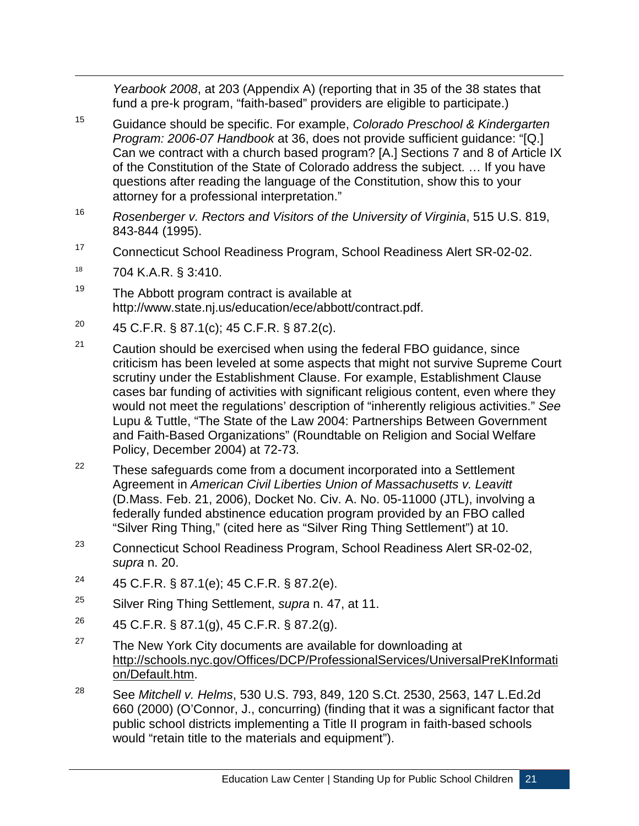*Yearbook 2008*, at 203 (Appendix A) (reporting that in 35 of the 38 states that fund a pre-k program, "faith-based" providers are eligible to participate.)

- <span id="page-20-1"></span>15 Guidance should be specific. For example, *Colorado Preschool & Kindergarten Program: 2006-07 Handbook* at 36, does not provide sufficient guidance: "[Q.] Can we contract with a church based program? [A.] Sections 7 and 8 of Article IX of the Constitution of the State of Colorado address the subject. … If you have questions after reading the language of the Constitution, show this to your attorney for a professional interpretation."
- <span id="page-20-2"></span>16 *Rosenberger v. Rectors and Visitors of the University of Virginia*, 515 U.S. 819, 843-844 (1995).
- <span id="page-20-3"></span>17 Connecticut School Readiness Program, School Readiness Alert SR-02-02.
- <span id="page-20-4"></span>18 704 K.A.R. § 3:410.

<span id="page-20-0"></span> $\overline{a}$ 

- <span id="page-20-5"></span> $19$  The Abbott program contract is available at http://www.state.nj.us/education/ece/abbott/contract.pdf.
- <span id="page-20-6"></span><sup>20</sup> 45 C.F.R. § 87.1(c); 45 C.F.R. § 87.2(c).
- <span id="page-20-7"></span> $21$  Caution should be exercised when using the federal FBO guidance, since criticism has been leveled at some aspects that might not survive Supreme Court scrutiny under the Establishment Clause. For example, Establishment Clause cases bar funding of activities with significant religious content, even where they would not meet the regulations' description of "inherently religious activities." *See* Lupu & Tuttle, "The State of the Law 2004: Partnerships Between Government and Faith-Based Organizations" (Roundtable on Religion and Social Welfare Policy, December 2004) at 72-73.
- <span id="page-20-8"></span> $22$  These safeguards come from a document incorporated into a Settlement Agreement in *American Civil Liberties Union of Massachusetts v. Leavitt* (D.Mass. Feb. 21, 2006), Docket No. Civ. A. No. 05-11000 (JTL), involving a federally funded abstinence education program provided by an FBO called "Silver Ring Thing," (cited here as "Silver Ring Thing Settlement") at 10.
- <span id="page-20-9"></span>23 Connecticut School Readiness Program, School Readiness Alert SR-02-02, *supra* n. 20.
- <span id="page-20-10"></span><sup>24</sup> 45 C.F.R. § 87.1(e); 45 C.F.R. § 87.2(e).
- <span id="page-20-11"></span>25 Silver Ring Thing Settlement, *supra* n. 47, at 11.
- <span id="page-20-12"></span><sup>26</sup> 45 C.F.R. § 87.1(g), 45 C.F.R. § 87.2(g).
- <span id="page-20-13"></span> $27$  The New York City documents are available for downloading at [http://schools.nyc.gov/Offices/DCP/ProfessionalServices/UniversalPreKInformati](http://schools.nyc.gov/Offices/DCP/ProfessionalServices/UniversalPreKInformation/Default.htm) [on/Default.htm.](http://schools.nyc.gov/Offices/DCP/ProfessionalServices/UniversalPreKInformation/Default.htm)
- <span id="page-20-14"></span>28 See *Mitchell v. Helms*, 530 U.S. 793, 849, 120 S.Ct. 2530, 2563, 147 L.Ed.2d 660 (2000) (O'Connor, J., concurring) (finding that it was a significant factor that public school districts implementing a Title II program in faith-based schools would "retain title to the materials and equipment").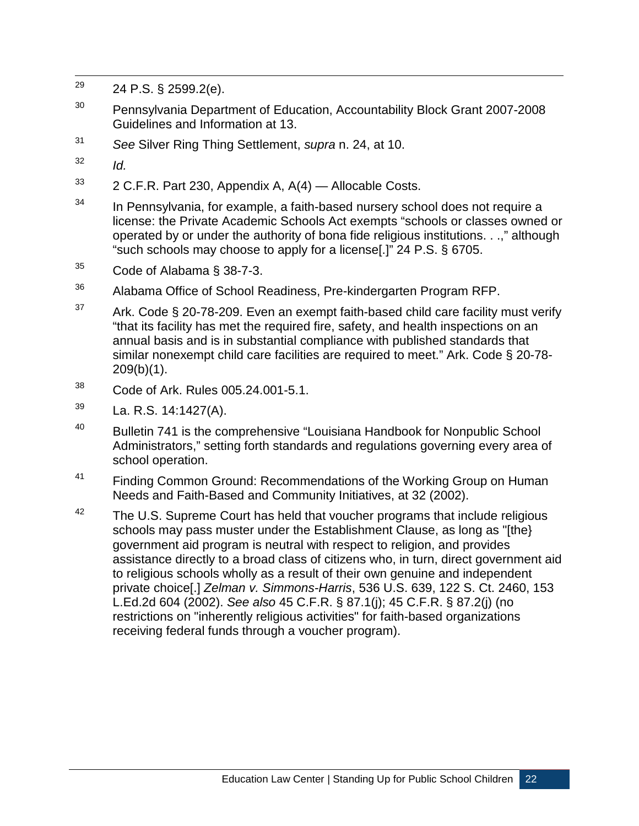- <span id="page-21-0"></span> $^{29}$  24 P.S. § 2599.2(e).
- <span id="page-21-1"></span> $30$  Pennsylvania Department of Education, Accountability Block Grant 2007-2008 Guidelines and Information at 13.
- <span id="page-21-2"></span>31 *See* Silver Ring Thing Settlement, *supra* n. 24, at 10.
- <span id="page-21-3"></span> $32$  *Id.*
- <span id="page-21-4"></span> $33$  2 C.F.R. Part 230, Appendix A,  $A(4)$  — Allocable Costs.
- <span id="page-21-5"></span> $34$  In Pennsylvania, for example, a faith-based nursery school does not require a license: the Private Academic Schools Act exempts "schools or classes owned or operated by or under the authority of bona fide religious institutions. . .," although "such schools may choose to apply for a license[.]" 24 P.S. § 6705.
- <span id="page-21-6"></span> $35$  Code of Alabama § 38-7-3.
- <span id="page-21-7"></span><sup>36</sup> Alabama Office of School Readiness, Pre-kindergarten Program RFP.
- <span id="page-21-8"></span> $37$  Ark. Code § 20-78-209. Even an exempt faith-based child care facility must verify "that its facility has met the required fire, safety, and health inspections on an annual basis and is in substantial compliance with published standards that similar nonexempt child care facilities are required to meet." Ark. Code § 20-78- 209(b)(1).
- <span id="page-21-9"></span>38 Code of Ark. Rules 005.24.001-5.1.
- <span id="page-21-10"></span> $39$  La. R.S. 14:1427(A).
- <span id="page-21-11"></span> $40$  Bulletin 741 is the comprehensive "Louisiana Handbook for Nonpublic School Administrators," setting forth standards and regulations governing every area of school operation.
- <sup>41</sup> Finding Common Ground: Recommendations of the Working Group on Human Needs and Faith-Based and Community Initiatives, at 32 (2002).
- $42$  The U.S. Supreme Court has held that voucher programs that include religious schools may pass muster under the Establishment Clause, as long as "[the} government aid program is neutral with respect to religion, and provides assistance directly to a broad class of citizens who, in turn, direct government aid to religious schools wholly as a result of their own genuine and independent private choice[.] *Zelman v. Simmons-Harris*, 536 U.S. 639, 122 S. Ct. 2460, 153 L.Ed.2d 604 (2002). *See also* 45 C.F.R. § 87.1(j); 45 C.F.R. § 87.2(j) (no restrictions on "inherently religious activities" for faith-based organizations receiving federal funds through a voucher program).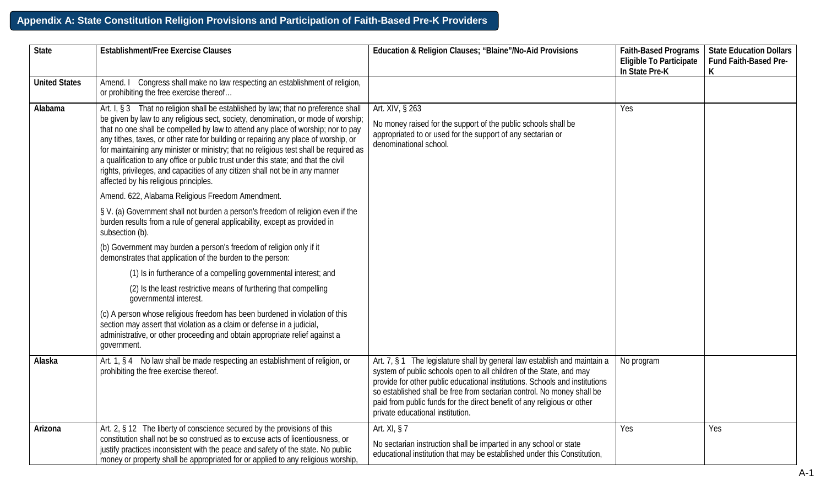| <b>State</b>         | <b>Establishment/Free Exercise Clauses</b>                                                                                                                                                                                                                                                                                                                                                                                                                                                                                                                                                                                                                                                                                                                                                                                                                                                                                                                                | Education & Religion Clauses; "Blaine"/No-Aid Provisions                                                                                                                                                                                                                                                                                                                                                                 | <b>Faith-Based Programs</b><br><b>Eligible To Participate</b><br>In State Pre-K | <b>State Education Dollars</b><br>Fund Faith-Based Pre-<br>K |
|----------------------|---------------------------------------------------------------------------------------------------------------------------------------------------------------------------------------------------------------------------------------------------------------------------------------------------------------------------------------------------------------------------------------------------------------------------------------------------------------------------------------------------------------------------------------------------------------------------------------------------------------------------------------------------------------------------------------------------------------------------------------------------------------------------------------------------------------------------------------------------------------------------------------------------------------------------------------------------------------------------|--------------------------------------------------------------------------------------------------------------------------------------------------------------------------------------------------------------------------------------------------------------------------------------------------------------------------------------------------------------------------------------------------------------------------|---------------------------------------------------------------------------------|--------------------------------------------------------------|
| <b>United States</b> | Amend. I Congress shall make no law respecting an establishment of religion,<br>or prohibiting the free exercise thereof                                                                                                                                                                                                                                                                                                                                                                                                                                                                                                                                                                                                                                                                                                                                                                                                                                                  |                                                                                                                                                                                                                                                                                                                                                                                                                          |                                                                                 |                                                              |
| Alabama              | Art. I, § 3 That no religion shall be established by law; that no preference shall<br>be given by law to any religious sect, society, denomination, or mode of worship;<br>that no one shall be compelled by law to attend any place of worship; nor to pay<br>any tithes, taxes, or other rate for building or repairing any place of worship, or<br>for maintaining any minister or ministry; that no religious test shall be required as<br>a qualification to any office or public trust under this state; and that the civil<br>rights, privileges, and capacities of any citizen shall not be in any manner<br>affected by his religious principles.<br>Amend. 622, Alabama Religious Freedom Amendment.<br>§ V. (a) Government shall not burden a person's freedom of religion even if the<br>burden results from a rule of general applicability, except as provided in<br>subsection (b).<br>(b) Government may burden a person's freedom of religion only if it | Art. XIV, § 263<br>No money raised for the support of the public schools shall be<br>appropriated to or used for the support of any sectarian or<br>denominational school.                                                                                                                                                                                                                                               | Yes                                                                             |                                                              |
|                      | demonstrates that application of the burden to the person:<br>(1) Is in furtherance of a compelling governmental interest; and<br>(2) Is the least restrictive means of furthering that compelling<br>governmental interest.<br>(c) A person whose religious freedom has been burdened in violation of this<br>section may assert that violation as a claim or defense in a judicial,<br>administrative, or other proceeding and obtain appropriate relief against a<br>government.                                                                                                                                                                                                                                                                                                                                                                                                                                                                                       |                                                                                                                                                                                                                                                                                                                                                                                                                          |                                                                                 |                                                              |
| Alaska               | Art. 1, § 4 No law shall be made respecting an establishment of religion, or<br>prohibiting the free exercise thereof.                                                                                                                                                                                                                                                                                                                                                                                                                                                                                                                                                                                                                                                                                                                                                                                                                                                    | Art. 7, § 1 The legislature shall by general law establish and maintain a<br>system of public schools open to all children of the State, and may<br>provide for other public educational institutions. Schools and institutions<br>so established shall be free from sectarian control. No money shall be<br>paid from public funds for the direct benefit of any religious or other<br>private educational institution. | No program                                                                      |                                                              |
| Arizona              | Art. 2, § 12 The liberty of conscience secured by the provisions of this<br>constitution shall not be so construed as to excuse acts of licentiousness, or<br>justify practices inconsistent with the peace and safety of the state. No public<br>money or property shall be appropriated for or applied to any religious worship,                                                                                                                                                                                                                                                                                                                                                                                                                                                                                                                                                                                                                                        | Art. XI, § 7<br>No sectarian instruction shall be imparted in any school or state<br>educational institution that may be established under this Constitution,                                                                                                                                                                                                                                                            | Yes                                                                             | Yes                                                          |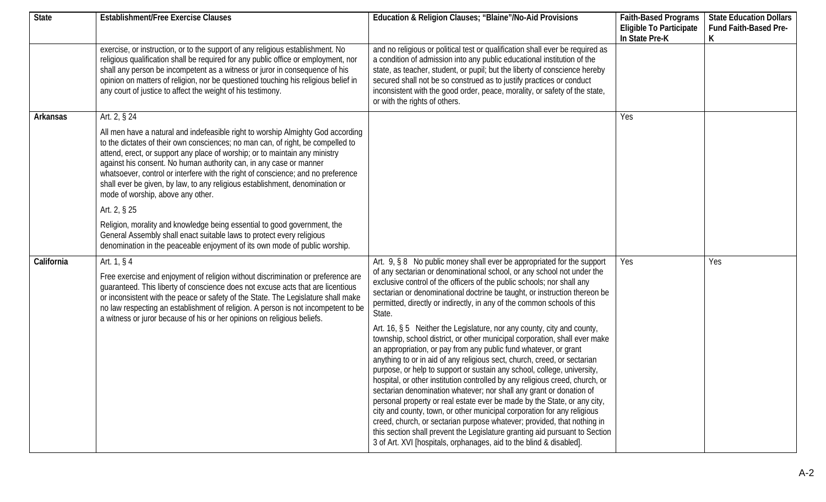| <b>State</b> | <b>Establishment/Free Exercise Clauses</b>                                                                                                                                                                                                                                                                                                                                                                                                                                                                                       | Education & Religion Clauses; "Blaine"/No-Aid Provisions                                                                                                                                                                                                                                                                                                                                                                                                                                                                                                                                                                                                                                                                                                                                                                                                                                                                                                                                                                                                                                                                                                                                                                                                                                                                         | <b>Faith-Based Programs</b><br><b>Eligible To Participate</b><br>In State Pre-K | <b>State Education Dollars</b><br>Fund Faith-Based Pre-<br>К |
|--------------|----------------------------------------------------------------------------------------------------------------------------------------------------------------------------------------------------------------------------------------------------------------------------------------------------------------------------------------------------------------------------------------------------------------------------------------------------------------------------------------------------------------------------------|----------------------------------------------------------------------------------------------------------------------------------------------------------------------------------------------------------------------------------------------------------------------------------------------------------------------------------------------------------------------------------------------------------------------------------------------------------------------------------------------------------------------------------------------------------------------------------------------------------------------------------------------------------------------------------------------------------------------------------------------------------------------------------------------------------------------------------------------------------------------------------------------------------------------------------------------------------------------------------------------------------------------------------------------------------------------------------------------------------------------------------------------------------------------------------------------------------------------------------------------------------------------------------------------------------------------------------|---------------------------------------------------------------------------------|--------------------------------------------------------------|
|              | exercise, or instruction, or to the support of any religious establishment. No<br>religious qualification shall be required for any public office or employment, nor<br>shall any person be incompetent as a witness or juror in consequence of his<br>opinion on matters of religion, nor be questioned touching his religious belief in<br>any court of justice to affect the weight of his testimony.                                                                                                                         | and no religious or political test or qualification shall ever be required as<br>a condition of admission into any public educational institution of the<br>state, as teacher, student, or pupil; but the liberty of conscience hereby<br>secured shall not be so construed as to justify practices or conduct<br>inconsistent with the good order, peace, morality, or safety of the state,<br>or with the rights of others.                                                                                                                                                                                                                                                                                                                                                                                                                                                                                                                                                                                                                                                                                                                                                                                                                                                                                                    |                                                                                 |                                                              |
| Arkansas     | Art. 2, § 24                                                                                                                                                                                                                                                                                                                                                                                                                                                                                                                     |                                                                                                                                                                                                                                                                                                                                                                                                                                                                                                                                                                                                                                                                                                                                                                                                                                                                                                                                                                                                                                                                                                                                                                                                                                                                                                                                  | Yes                                                                             |                                                              |
|              | All men have a natural and indefeasible right to worship Almighty God according<br>to the dictates of their own consciences; no man can, of right, be compelled to<br>attend, erect, or support any place of worship; or to maintain any ministry<br>against his consent. No human authority can, in any case or manner<br>whatsoever, control or interfere with the right of conscience; and no preference<br>shall ever be given, by law, to any religious establishment, denomination or<br>mode of worship, above any other. |                                                                                                                                                                                                                                                                                                                                                                                                                                                                                                                                                                                                                                                                                                                                                                                                                                                                                                                                                                                                                                                                                                                                                                                                                                                                                                                                  |                                                                                 |                                                              |
|              | Art. 2, § 25                                                                                                                                                                                                                                                                                                                                                                                                                                                                                                                     |                                                                                                                                                                                                                                                                                                                                                                                                                                                                                                                                                                                                                                                                                                                                                                                                                                                                                                                                                                                                                                                                                                                                                                                                                                                                                                                                  |                                                                                 |                                                              |
|              | Religion, morality and knowledge being essential to good government, the<br>General Assembly shall enact suitable laws to protect every religious<br>denomination in the peaceable enjoyment of its own mode of public worship.                                                                                                                                                                                                                                                                                                  |                                                                                                                                                                                                                                                                                                                                                                                                                                                                                                                                                                                                                                                                                                                                                                                                                                                                                                                                                                                                                                                                                                                                                                                                                                                                                                                                  |                                                                                 |                                                              |
| California   | Art. 1, § 4<br>Free exercise and enjoyment of religion without discrimination or preference are<br>quaranteed. This liberty of conscience does not excuse acts that are licentious<br>or inconsistent with the peace or safety of the State. The Legislature shall make<br>no law respecting an establishment of religion. A person is not incompetent to be<br>a witness or juror because of his or her opinions on religious beliefs.                                                                                          | Art. 9, § 8 No public money shall ever be appropriated for the support<br>of any sectarian or denominational school, or any school not under the<br>exclusive control of the officers of the public schools; nor shall any<br>sectarian or denominational doctrine be taught, or instruction thereon be<br>permitted, directly or indirectly, in any of the common schools of this<br>State.<br>Art. 16, $§$ 5 Neither the Legislature, nor any county, city and county,<br>township, school district, or other municipal corporation, shall ever make<br>an appropriation, or pay from any public fund whatever, or grant<br>anything to or in aid of any religious sect, church, creed, or sectarian<br>purpose, or help to support or sustain any school, college, university,<br>hospital, or other institution controlled by any religious creed, church, or<br>sectarian denomination whatever; nor shall any grant or donation of<br>personal property or real estate ever be made by the State, or any city,<br>city and county, town, or other municipal corporation for any religious<br>creed, church, or sectarian purpose whatever; provided, that nothing in<br>this section shall prevent the Legislature granting aid pursuant to Section<br>3 of Art. XVI [hospitals, orphanages, aid to the blind & disabled]. | Yes                                                                             | Yes                                                          |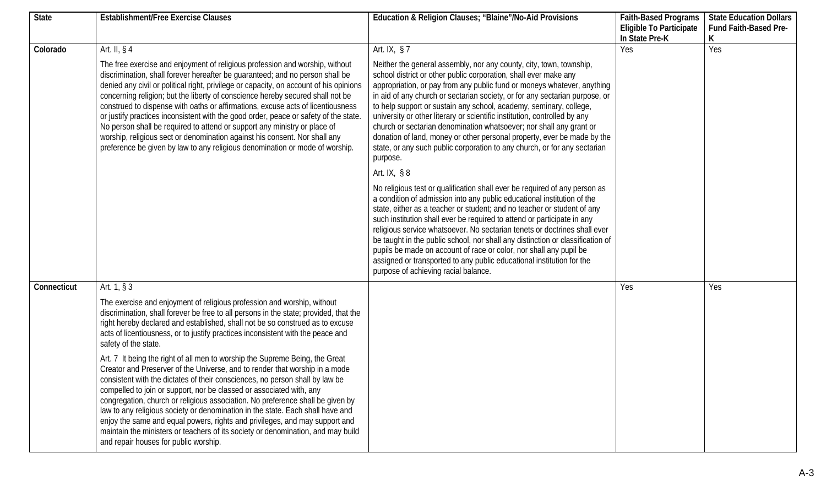| <b>State</b> | <b>Establishment/Free Exercise Clauses</b>                                                                                                                                                                                                                                                                                                                                                                                                                                                                                                                                                                                                                                                                                                                      | Education & Religion Clauses; "Blaine"/No-Aid Provisions                                                                                                                                                                                                                                                                                                                                                                                                                                                                                                                                                                                                                                        | <b>Faith-Based Programs</b><br><b>Eligible To Participate</b><br>In State Pre-K | <b>State Education Dollars</b><br><b>Fund Faith-Based Pre-</b><br>K |
|--------------|-----------------------------------------------------------------------------------------------------------------------------------------------------------------------------------------------------------------------------------------------------------------------------------------------------------------------------------------------------------------------------------------------------------------------------------------------------------------------------------------------------------------------------------------------------------------------------------------------------------------------------------------------------------------------------------------------------------------------------------------------------------------|-------------------------------------------------------------------------------------------------------------------------------------------------------------------------------------------------------------------------------------------------------------------------------------------------------------------------------------------------------------------------------------------------------------------------------------------------------------------------------------------------------------------------------------------------------------------------------------------------------------------------------------------------------------------------------------------------|---------------------------------------------------------------------------------|---------------------------------------------------------------------|
| Colorado     | Art. II, § 4                                                                                                                                                                                                                                                                                                                                                                                                                                                                                                                                                                                                                                                                                                                                                    | Art. IX, § 7                                                                                                                                                                                                                                                                                                                                                                                                                                                                                                                                                                                                                                                                                    | Yes                                                                             | Yes                                                                 |
|              | The free exercise and enjoyment of religious profession and worship, without<br>discrimination, shall forever hereafter be guaranteed; and no person shall be<br>denied any civil or political right, privilege or capacity, on account of his opinions<br>concerning religion; but the liberty of conscience hereby secured shall not be<br>construed to dispense with oaths or affirmations, excuse acts of licentiousness<br>or justify practices inconsistent with the good order, peace or safety of the state.<br>No person shall be required to attend or support any ministry or place of<br>worship, religious sect or denomination against his consent. Nor shall any<br>preference be given by law to any religious denomination or mode of worship. | Neither the general assembly, nor any county, city, town, township,<br>school district or other public corporation, shall ever make any<br>appropriation, or pay from any public fund or moneys whatever, anything<br>in aid of any church or sectarian society, or for any sectarian purpose, or<br>to help support or sustain any school, academy, seminary, college,<br>university or other literary or scientific institution, controlled by any<br>church or sectarian denomination whatsoever; nor shall any grant or<br>donation of land, money or other personal property, ever be made by the<br>state, or any such public corporation to any church, or for any sectarian<br>purpose. |                                                                                 |                                                                     |
|              |                                                                                                                                                                                                                                                                                                                                                                                                                                                                                                                                                                                                                                                                                                                                                                 | Art. IX, $§ 8$                                                                                                                                                                                                                                                                                                                                                                                                                                                                                                                                                                                                                                                                                  |                                                                                 |                                                                     |
|              |                                                                                                                                                                                                                                                                                                                                                                                                                                                                                                                                                                                                                                                                                                                                                                 | No religious test or qualification shall ever be required of any person as<br>a condition of admission into any public educational institution of the<br>state, either as a teacher or student; and no teacher or student of any<br>such institution shall ever be required to attend or participate in any<br>religious service whatsoever. No sectarian tenets or doctrines shall ever<br>be taught in the public school, nor shall any distinction or classification of<br>pupils be made on account of race or color, nor shall any pupil be<br>assigned or transported to any public educational institution for the<br>purpose of achieving racial balance.                               |                                                                                 |                                                                     |
| Connecticut  | Art. 1, § 3                                                                                                                                                                                                                                                                                                                                                                                                                                                                                                                                                                                                                                                                                                                                                     |                                                                                                                                                                                                                                                                                                                                                                                                                                                                                                                                                                                                                                                                                                 | Yes                                                                             | Yes                                                                 |
|              | The exercise and enjoyment of religious profession and worship, without<br>discrimination, shall forever be free to all persons in the state; provided, that the<br>right hereby declared and established, shall not be so construed as to excuse<br>acts of licentiousness, or to justify practices inconsistent with the peace and<br>safety of the state.<br>Art. 7 It being the right of all men to worship the Supreme Being, the Great<br>Creator and Preserver of the Universe, and to render that worship in a mode                                                                                                                                                                                                                                     |                                                                                                                                                                                                                                                                                                                                                                                                                                                                                                                                                                                                                                                                                                 |                                                                                 |                                                                     |
|              | consistent with the dictates of their consciences, no person shall by law be<br>compelled to join or support, nor be classed or associated with, any<br>congregation, church or religious association. No preference shall be given by<br>law to any religious society or denomination in the state. Each shall have and<br>enjoy the same and equal powers, rights and privileges, and may support and<br>maintain the ministers or teachers of its society or denomination, and may build<br>and repair houses for public worship.                                                                                                                                                                                                                            |                                                                                                                                                                                                                                                                                                                                                                                                                                                                                                                                                                                                                                                                                                 |                                                                                 |                                                                     |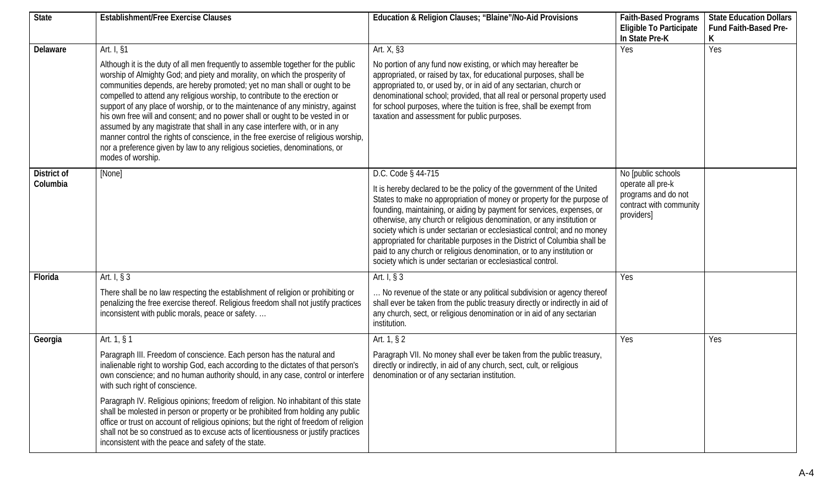| <b>State</b>            | <b>Establishment/Free Exercise Clauses</b>                                                                                                                                                                                                                                                                                                                                                                                                                                                                                                                                                                                                                                                                                                                                              | Education & Religion Clauses; "Blaine"/No-Aid Provisions                                                                                                                                                                                                                                                                                                                                                                                                                                                                                                                                                                      | <b>Faith-Based Programs</b><br><b>Eligible To Participate</b><br>In State Pre-K                         | <b>State Education Dollars</b><br>Fund Faith-Based Pre-<br>K |
|-------------------------|-----------------------------------------------------------------------------------------------------------------------------------------------------------------------------------------------------------------------------------------------------------------------------------------------------------------------------------------------------------------------------------------------------------------------------------------------------------------------------------------------------------------------------------------------------------------------------------------------------------------------------------------------------------------------------------------------------------------------------------------------------------------------------------------|-------------------------------------------------------------------------------------------------------------------------------------------------------------------------------------------------------------------------------------------------------------------------------------------------------------------------------------------------------------------------------------------------------------------------------------------------------------------------------------------------------------------------------------------------------------------------------------------------------------------------------|---------------------------------------------------------------------------------------------------------|--------------------------------------------------------------|
| Delaware                | Art. I, §1<br>Although it is the duty of all men frequently to assemble together for the public<br>worship of Almighty God; and piety and morality, on which the prosperity of<br>communities depends, are hereby promoted; yet no man shall or ought to be<br>compelled to attend any religious worship, to contribute to the erection or<br>support of any place of worship, or to the maintenance of any ministry, against<br>his own free will and consent; and no power shall or ought to be vested in or<br>assumed by any magistrate that shall in any case interfere with, or in any<br>manner control the rights of conscience, in the free exercise of religious worship,<br>nor a preference given by law to any religious societies, denominations, or<br>modes of worship. | Art. X, §3<br>No portion of any fund now existing, or which may hereafter be<br>appropriated, or raised by tax, for educational purposes, shall be<br>appropriated to, or used by, or in aid of any sectarian, church or<br>denominational school; provided, that all real or personal property used<br>for school purposes, where the tuition is free, shall be exempt from<br>taxation and assessment for public purposes.                                                                                                                                                                                                  | Yes                                                                                                     | Yes                                                          |
| District of<br>Columbia | [None]                                                                                                                                                                                                                                                                                                                                                                                                                                                                                                                                                                                                                                                                                                                                                                                  | D.C. Code § 44-715<br>It is hereby declared to be the policy of the government of the United<br>States to make no appropriation of money or property for the purpose of<br>founding, maintaining, or aiding by payment for services, expenses, or<br>otherwise, any church or religious denomination, or any institution or<br>society which is under sectarian or ecclesiastical control; and no money<br>appropriated for charitable purposes in the District of Columbia shall be<br>paid to any church or religious denomination, or to any institution or<br>society which is under sectarian or ecclesiastical control. | No [public schools<br>operate all pre-k<br>programs and do not<br>contract with community<br>providers] |                                                              |
| Florida                 | Art. I, § 3<br>There shall be no law respecting the establishment of religion or prohibiting or<br>penalizing the free exercise thereof. Religious freedom shall not justify practices<br>inconsistent with public morals, peace or safety                                                                                                                                                                                                                                                                                                                                                                                                                                                                                                                                              | Art. I, $\S$ 3<br>No revenue of the state or any political subdivision or agency thereof<br>shall ever be taken from the public treasury directly or indirectly in aid of<br>any church, sect, or religious denomination or in aid of any sectarian<br>institution.                                                                                                                                                                                                                                                                                                                                                           | Yes                                                                                                     |                                                              |
| Georgia                 | Art. 1, § 1<br>Paragraph III. Freedom of conscience. Each person has the natural and<br>inalienable right to worship God, each according to the dictates of that person's<br>own conscience; and no human authority should, in any case, control or interfere<br>with such right of conscience.<br>Paragraph IV. Religious opinions; freedom of religion. No inhabitant of this state<br>shall be molested in person or property or be prohibited from holding any public<br>office or trust on account of religious opinions; but the right of freedom of religion<br>shall not be so construed as to excuse acts of licentiousness or justify practices<br>inconsistent with the peace and safety of the state.                                                                       | Art. 1, § 2<br>Paragraph VII. No money shall ever be taken from the public treasury,<br>directly or indirectly, in aid of any church, sect, cult, or religious<br>denomination or of any sectarian institution.                                                                                                                                                                                                                                                                                                                                                                                                               | Yes                                                                                                     | Yes                                                          |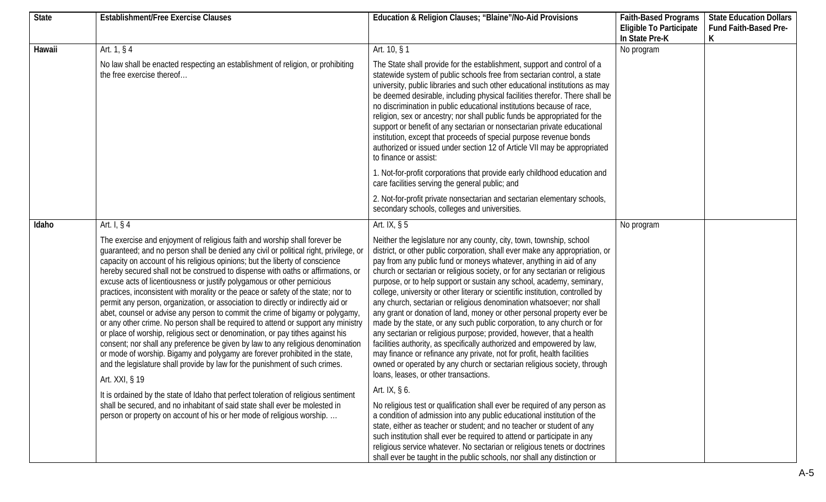| <b>State</b> | <b>Establishment/Free Exercise Clauses</b>                                                                                                                                                                                                                                                                                                                                                                                                                                                                                                                                                                                                                                                                                                                                                                                                                                                                                                                                                                                                                                                                                                                                                                     | Education & Religion Clauses; "Blaine"/No-Aid Provisions                                                                                                                                                                                                                                                                                                                                                                                                                                                                                                                                                                                                                                                                                                                                                                                                                                                                                                                                                                                                                  | <b>Faith-Based Programs</b><br><b>Eligible To Participate</b><br>In State Pre-K | <b>State Education Dollars</b><br><b>Fund Faith-Based Pre-</b><br>K |
|--------------|----------------------------------------------------------------------------------------------------------------------------------------------------------------------------------------------------------------------------------------------------------------------------------------------------------------------------------------------------------------------------------------------------------------------------------------------------------------------------------------------------------------------------------------------------------------------------------------------------------------------------------------------------------------------------------------------------------------------------------------------------------------------------------------------------------------------------------------------------------------------------------------------------------------------------------------------------------------------------------------------------------------------------------------------------------------------------------------------------------------------------------------------------------------------------------------------------------------|---------------------------------------------------------------------------------------------------------------------------------------------------------------------------------------------------------------------------------------------------------------------------------------------------------------------------------------------------------------------------------------------------------------------------------------------------------------------------------------------------------------------------------------------------------------------------------------------------------------------------------------------------------------------------------------------------------------------------------------------------------------------------------------------------------------------------------------------------------------------------------------------------------------------------------------------------------------------------------------------------------------------------------------------------------------------------|---------------------------------------------------------------------------------|---------------------------------------------------------------------|
| Hawaii       | Art. 1, § 4                                                                                                                                                                                                                                                                                                                                                                                                                                                                                                                                                                                                                                                                                                                                                                                                                                                                                                                                                                                                                                                                                                                                                                                                    | Art. 10, § 1                                                                                                                                                                                                                                                                                                                                                                                                                                                                                                                                                                                                                                                                                                                                                                                                                                                                                                                                                                                                                                                              | No program                                                                      |                                                                     |
|              | No law shall be enacted respecting an establishment of religion, or prohibiting<br>the free exercise thereof                                                                                                                                                                                                                                                                                                                                                                                                                                                                                                                                                                                                                                                                                                                                                                                                                                                                                                                                                                                                                                                                                                   | The State shall provide for the establishment, support and control of a<br>statewide system of public schools free from sectarian control, a state<br>university, public libraries and such other educational institutions as may<br>be deemed desirable, including physical facilities therefor. There shall be<br>no discrimination in public educational institutions because of race,<br>religion, sex or ancestry; nor shall public funds be appropriated for the<br>support or benefit of any sectarian or nonsectarian private educational<br>institution, except that proceeds of special purpose revenue bonds<br>authorized or issued under section 12 of Article VII may be appropriated<br>to finance or assist:                                                                                                                                                                                                                                                                                                                                              |                                                                                 |                                                                     |
|              |                                                                                                                                                                                                                                                                                                                                                                                                                                                                                                                                                                                                                                                                                                                                                                                                                                                                                                                                                                                                                                                                                                                                                                                                                | 1. Not-for-profit corporations that provide early childhood education and<br>care facilities serving the general public; and                                                                                                                                                                                                                                                                                                                                                                                                                                                                                                                                                                                                                                                                                                                                                                                                                                                                                                                                              |                                                                                 |                                                                     |
|              |                                                                                                                                                                                                                                                                                                                                                                                                                                                                                                                                                                                                                                                                                                                                                                                                                                                                                                                                                                                                                                                                                                                                                                                                                | 2. Not-for-profit private nonsectarian and sectarian elementary schools,<br>secondary schools, colleges and universities.                                                                                                                                                                                                                                                                                                                                                                                                                                                                                                                                                                                                                                                                                                                                                                                                                                                                                                                                                 |                                                                                 |                                                                     |
| Idaho        | Art. I, § 4                                                                                                                                                                                                                                                                                                                                                                                                                                                                                                                                                                                                                                                                                                                                                                                                                                                                                                                                                                                                                                                                                                                                                                                                    | Art. IX, § 5                                                                                                                                                                                                                                                                                                                                                                                                                                                                                                                                                                                                                                                                                                                                                                                                                                                                                                                                                                                                                                                              | No program                                                                      |                                                                     |
|              | The exercise and enjoyment of religious faith and worship shall forever be<br>guaranteed; and no person shall be denied any civil or political right, privilege, or<br>capacity on account of his religious opinions; but the liberty of conscience<br>hereby secured shall not be construed to dispense with oaths or affirmations, or<br>excuse acts of licentiousness or justify polygamous or other pernicious<br>practices, inconsistent with morality or the peace or safety of the state; nor to<br>permit any person, organization, or association to directly or indirectly aid or<br>abet, counsel or advise any person to commit the crime of bigamy or polygamy,<br>or any other crime. No person shall be required to attend or support any ministry<br>or place of worship, religious sect or denomination, or pay tithes against his<br>consent; nor shall any preference be given by law to any religious denomination<br>or mode of worship. Bigamy and polygamy are forever prohibited in the state,<br>and the legislature shall provide by law for the punishment of such crimes.<br>Art. XXI, § 19<br>It is ordained by the state of Idaho that perfect toleration of religious sentiment | Neither the legislature nor any county, city, town, township, school<br>district, or other public corporation, shall ever make any appropriation, or<br>pay from any public fund or moneys whatever, anything in aid of any<br>church or sectarian or religious society, or for any sectarian or religious<br>purpose, or to help support or sustain any school, academy, seminary,<br>college, university or other literary or scientific institution, controlled by<br>any church, sectarian or religious denomination whatsoever; nor shall<br>any grant or donation of land, money or other personal property ever be<br>made by the state, or any such public corporation, to any church or for<br>any sectarian or religious purpose; provided, however, that a health<br>facilities authority, as specifically authorized and empowered by law,<br>may finance or refinance any private, not for profit, health facilities<br>owned or operated by any church or sectarian religious society, through<br>loans, leases, or other transactions.<br>Art. IX, $\S$ 6. |                                                                                 |                                                                     |
|              | shall be secured, and no inhabitant of said state shall ever be molested in<br>person or property on account of his or her mode of religious worship                                                                                                                                                                                                                                                                                                                                                                                                                                                                                                                                                                                                                                                                                                                                                                                                                                                                                                                                                                                                                                                           | No religious test or qualification shall ever be required of any person as<br>a condition of admission into any public educational institution of the<br>state, either as teacher or student; and no teacher or student of any<br>such institution shall ever be required to attend or participate in any<br>religious service whatever. No sectarian or religious tenets or doctrines<br>shall ever be taught in the public schools, nor shall any distinction or                                                                                                                                                                                                                                                                                                                                                                                                                                                                                                                                                                                                        |                                                                                 |                                                                     |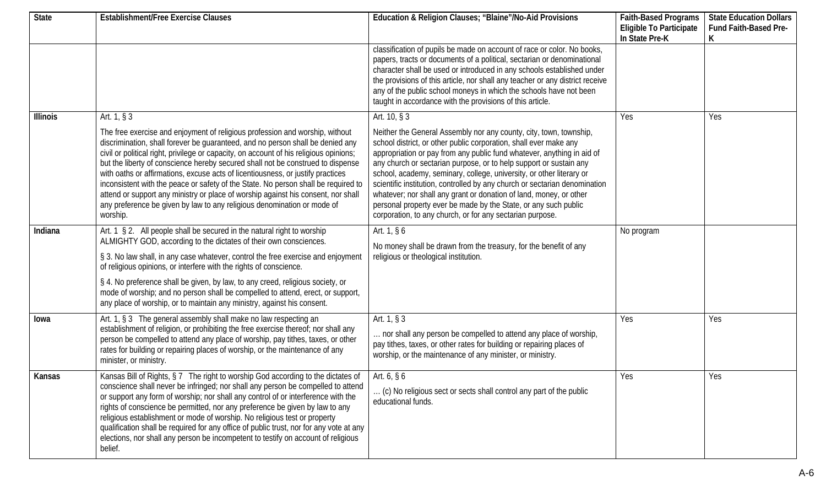| <b>State</b>    | <b>Establishment/Free Exercise Clauses</b>                                                                                                                                                                                                                                                                                                                                                                                                                                                                                                                                                                                                                                                       | Education & Religion Clauses; "Blaine"/No-Aid Provisions                                                                                                                                                                                                                                                                                                                                                                                                                                                                                                                                                                                            | <b>Faith-Based Programs</b><br><b>Eligible To Participate</b><br>In State Pre-K | <b>State Education Dollars</b><br>Fund Faith-Based Pre-<br>К |
|-----------------|--------------------------------------------------------------------------------------------------------------------------------------------------------------------------------------------------------------------------------------------------------------------------------------------------------------------------------------------------------------------------------------------------------------------------------------------------------------------------------------------------------------------------------------------------------------------------------------------------------------------------------------------------------------------------------------------------|-----------------------------------------------------------------------------------------------------------------------------------------------------------------------------------------------------------------------------------------------------------------------------------------------------------------------------------------------------------------------------------------------------------------------------------------------------------------------------------------------------------------------------------------------------------------------------------------------------------------------------------------------------|---------------------------------------------------------------------------------|--------------------------------------------------------------|
|                 |                                                                                                                                                                                                                                                                                                                                                                                                                                                                                                                                                                                                                                                                                                  | classification of pupils be made on account of race or color. No books,<br>papers, tracts or documents of a political, sectarian or denominational<br>character shall be used or introduced in any schools established under<br>the provisions of this article, nor shall any teacher or any district receive<br>any of the public school moneys in which the schools have not been<br>taught in accordance with the provisions of this article.                                                                                                                                                                                                    |                                                                                 |                                                              |
| <b>Illinois</b> | Art. 1, § 3                                                                                                                                                                                                                                                                                                                                                                                                                                                                                                                                                                                                                                                                                      | Art. 10, § 3                                                                                                                                                                                                                                                                                                                                                                                                                                                                                                                                                                                                                                        | Yes                                                                             | Yes                                                          |
|                 | The free exercise and enjoyment of religious profession and worship, without<br>discrimination, shall forever be guaranteed, and no person shall be denied any<br>civil or political right, privilege or capacity, on account of his religious opinions;<br>but the liberty of conscience hereby secured shall not be construed to dispense<br>with oaths or affirmations, excuse acts of licentiousness, or justify practices<br>inconsistent with the peace or safety of the State. No person shall be required to<br>attend or support any ministry or place of worship against his consent, nor shall<br>any preference be given by law to any religious denomination or mode of<br>worship. | Neither the General Assembly nor any county, city, town, township,<br>school district, or other public corporation, shall ever make any<br>appropriation or pay from any public fund whatever, anything in aid of<br>any church or sectarian purpose, or to help support or sustain any<br>school, academy, seminary, college, university, or other literary or<br>scientific institution, controlled by any church or sectarian denomination<br>whatever; nor shall any grant or donation of land, money, or other<br>personal property ever be made by the State, or any such public<br>corporation, to any church, or for any sectarian purpose. |                                                                                 |                                                              |
| Indiana         | Art. $1 \S 2$ . All people shall be secured in the natural right to worship<br>ALMIGHTY GOD, according to the dictates of their own consciences.                                                                                                                                                                                                                                                                                                                                                                                                                                                                                                                                                 | Art. 1, § 6                                                                                                                                                                                                                                                                                                                                                                                                                                                                                                                                                                                                                                         | No program                                                                      |                                                              |
|                 | § 3. No law shall, in any case whatever, control the free exercise and enjoyment<br>of religious opinions, or interfere with the rights of conscience.                                                                                                                                                                                                                                                                                                                                                                                                                                                                                                                                           | No money shall be drawn from the treasury, for the benefit of any<br>religious or theological institution.                                                                                                                                                                                                                                                                                                                                                                                                                                                                                                                                          |                                                                                 |                                                              |
|                 | § 4. No preference shall be given, by law, to any creed, religious society, or<br>mode of worship; and no person shall be compelled to attend, erect, or support,<br>any place of worship, or to maintain any ministry, against his consent.                                                                                                                                                                                                                                                                                                                                                                                                                                                     |                                                                                                                                                                                                                                                                                                                                                                                                                                                                                                                                                                                                                                                     |                                                                                 |                                                              |
| lowa            | Art. 1, § 3 The general assembly shall make no law respecting an<br>establishment of religion, or prohibiting the free exercise thereof; nor shall any<br>person be compelled to attend any place of worship, pay tithes, taxes, or other<br>rates for building or repairing places of worship, or the maintenance of any<br>minister, or ministry.                                                                                                                                                                                                                                                                                                                                              | Art. 1, § 3<br>nor shall any person be compelled to attend any place of worship,<br>pay tithes, taxes, or other rates for building or repairing places of<br>worship, or the maintenance of any minister, or ministry.                                                                                                                                                                                                                                                                                                                                                                                                                              | Yes                                                                             | Yes                                                          |
| Kansas          | Kansas Bill of Rights, § 7 The right to worship God according to the dictates of<br>conscience shall never be infringed; nor shall any person be compelled to attend<br>or support any form of worship; nor shall any control of or interference with the<br>rights of conscience be permitted, nor any preference be given by law to any<br>religious establishment or mode of worship. No religious test or property<br>qualification shall be required for any office of public trust, nor for any vote at any<br>elections, nor shall any person be incompetent to testify on account of religious<br>belief.                                                                                | Art. $6, 66$<br>(c) No religious sect or sects shall control any part of the public<br>educational funds.                                                                                                                                                                                                                                                                                                                                                                                                                                                                                                                                           | Yes                                                                             | Yes                                                          |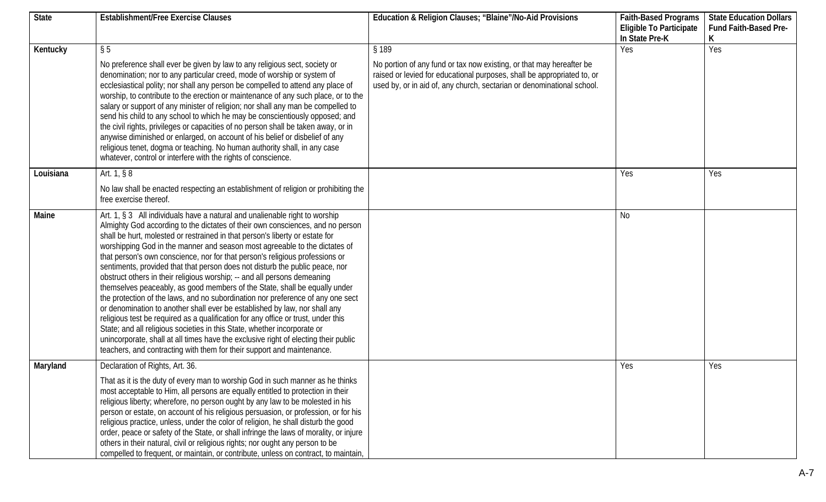| State     | <b>Establishment/Free Exercise Clauses</b>                                                                                                                                                                                                                                                                                                                                                                                                                                                                                                                                                                                                                                                                                                                                                                                                                                                                                                                                                                                                                                                                                                               | Education & Religion Clauses; "Blaine"/No-Aid Provisions                                                                                                                                                                           | <b>Faith-Based Programs</b><br><b>Eligible To Participate</b><br>In State Pre-K | <b>State Education Dollars</b><br>Fund Faith-Based Pre-<br>K |
|-----------|----------------------------------------------------------------------------------------------------------------------------------------------------------------------------------------------------------------------------------------------------------------------------------------------------------------------------------------------------------------------------------------------------------------------------------------------------------------------------------------------------------------------------------------------------------------------------------------------------------------------------------------------------------------------------------------------------------------------------------------------------------------------------------------------------------------------------------------------------------------------------------------------------------------------------------------------------------------------------------------------------------------------------------------------------------------------------------------------------------------------------------------------------------|------------------------------------------------------------------------------------------------------------------------------------------------------------------------------------------------------------------------------------|---------------------------------------------------------------------------------|--------------------------------------------------------------|
| Kentucky  | § 5<br>No preference shall ever be given by law to any religious sect, society or<br>denomination; nor to any particular creed, mode of worship or system of<br>ecclesiastical polity; nor shall any person be compelled to attend any place of<br>worship, to contribute to the erection or maintenance of any such place, or to the<br>salary or support of any minister of religion; nor shall any man be compelled to<br>send his child to any school to which he may be conscientiously opposed; and<br>the civil rights, privileges or capacities of no person shall be taken away, or in<br>anywise diminished or enlarged, on account of his belief or disbelief of any<br>religious tenet, dogma or teaching. No human authority shall, in any case<br>whatever, control or interfere with the rights of conscience.                                                                                                                                                                                                                                                                                                                            | § 189<br>No portion of any fund or tax now existing, or that may hereafter be<br>raised or levied for educational purposes, shall be appropriated to, or<br>used by, or in aid of, any church, sectarian or denominational school. | Yes                                                                             | Yes                                                          |
| Louisiana | Art. 1, § 8<br>No law shall be enacted respecting an establishment of religion or prohibiting the<br>free exercise thereof.                                                                                                                                                                                                                                                                                                                                                                                                                                                                                                                                                                                                                                                                                                                                                                                                                                                                                                                                                                                                                              |                                                                                                                                                                                                                                    | Yes                                                                             | Yes                                                          |
| Maine     | Art. 1, § 3 All individuals have a natural and unalienable right to worship<br>Almighty God according to the dictates of their own consciences, and no person<br>shall be hurt, molested or restrained in that person's liberty or estate for<br>worshipping God in the manner and season most agreeable to the dictates of<br>that person's own conscience, nor for that person's religious professions or<br>sentiments, provided that that person does not disturb the public peace, nor<br>obstruct others in their religious worship; -- and all persons demeaning<br>themselves peaceably, as good members of the State, shall be equally under<br>the protection of the laws, and no subordination nor preference of any one sect<br>or denomination to another shall ever be established by law, nor shall any<br>religious test be required as a qualification for any office or trust, under this<br>State; and all religious societies in this State, whether incorporate or<br>unincorporate, shall at all times have the exclusive right of electing their public<br>teachers, and contracting with them for their support and maintenance. |                                                                                                                                                                                                                                    | No                                                                              |                                                              |
| Maryland  | Declaration of Rights, Art. 36.<br>That as it is the duty of every man to worship God in such manner as he thinks<br>most acceptable to Him, all persons are equally entitled to protection in their<br>religious liberty; wherefore, no person ought by any law to be molested in his<br>person or estate, on account of his religious persuasion, or profession, or for his<br>religious practice, unless, under the color of religion, he shall disturb the good<br>order, peace or safety of the State, or shall infringe the laws of morality, or injure<br>others in their natural, civil or religious rights; nor ought any person to be<br>compelled to frequent, or maintain, or contribute, unless on contract, to maintain,                                                                                                                                                                                                                                                                                                                                                                                                                   |                                                                                                                                                                                                                                    | Yes                                                                             | Yes                                                          |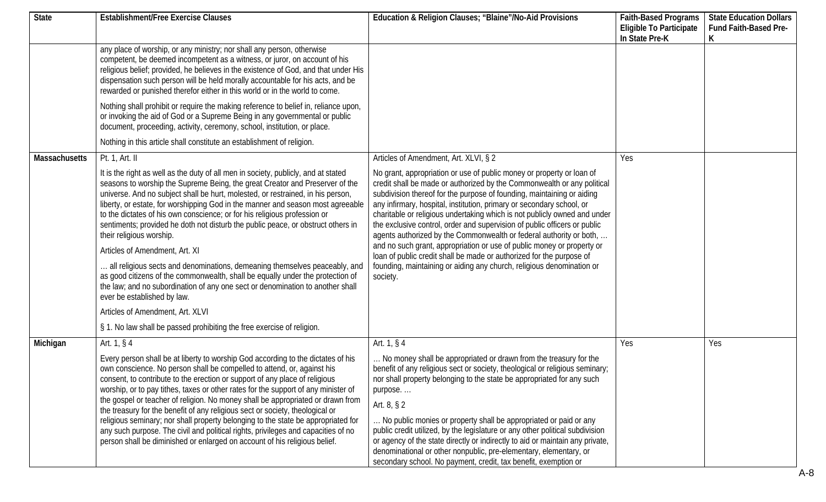| <b>State</b>  | <b>Establishment/Free Exercise Clauses</b>                                                                                                                                                                                                                                                                                                                                                                                                                                                                                                                                                                                                                                                                                                                                                                                                                                                                                                                             | Education & Religion Clauses; "Blaine"/No-Aid Provisions                                                                                                                                                                                                                                                                                                                                                                                                                                                                                                                                                                                                                                                                                                                    | <b>Faith-Based Programs</b><br><b>Eligible To Participate</b><br>In State Pre-K | <b>State Education Dollars</b><br>Fund Faith-Based Pre-<br>K |
|---------------|------------------------------------------------------------------------------------------------------------------------------------------------------------------------------------------------------------------------------------------------------------------------------------------------------------------------------------------------------------------------------------------------------------------------------------------------------------------------------------------------------------------------------------------------------------------------------------------------------------------------------------------------------------------------------------------------------------------------------------------------------------------------------------------------------------------------------------------------------------------------------------------------------------------------------------------------------------------------|-----------------------------------------------------------------------------------------------------------------------------------------------------------------------------------------------------------------------------------------------------------------------------------------------------------------------------------------------------------------------------------------------------------------------------------------------------------------------------------------------------------------------------------------------------------------------------------------------------------------------------------------------------------------------------------------------------------------------------------------------------------------------------|---------------------------------------------------------------------------------|--------------------------------------------------------------|
|               | any place of worship, or any ministry; nor shall any person, otherwise<br>competent, be deemed incompetent as a witness, or juror, on account of his<br>religious belief; provided, he believes in the existence of God, and that under His<br>dispensation such person will be held morally accountable for his acts, and be<br>rewarded or punished therefor either in this world or in the world to come.                                                                                                                                                                                                                                                                                                                                                                                                                                                                                                                                                           |                                                                                                                                                                                                                                                                                                                                                                                                                                                                                                                                                                                                                                                                                                                                                                             |                                                                                 |                                                              |
|               | Nothing shall prohibit or require the making reference to belief in, reliance upon,<br>or invoking the aid of God or a Supreme Being in any governmental or public<br>document, proceeding, activity, ceremony, school, institution, or place.                                                                                                                                                                                                                                                                                                                                                                                                                                                                                                                                                                                                                                                                                                                         |                                                                                                                                                                                                                                                                                                                                                                                                                                                                                                                                                                                                                                                                                                                                                                             |                                                                                 |                                                              |
|               | Nothing in this article shall constitute an establishment of religion.                                                                                                                                                                                                                                                                                                                                                                                                                                                                                                                                                                                                                                                                                                                                                                                                                                                                                                 |                                                                                                                                                                                                                                                                                                                                                                                                                                                                                                                                                                                                                                                                                                                                                                             |                                                                                 |                                                              |
| Massachusetts | Pt. 1, Art. II                                                                                                                                                                                                                                                                                                                                                                                                                                                                                                                                                                                                                                                                                                                                                                                                                                                                                                                                                         | Articles of Amendment, Art. XLVI, § 2                                                                                                                                                                                                                                                                                                                                                                                                                                                                                                                                                                                                                                                                                                                                       | Yes                                                                             |                                                              |
|               | It is the right as well as the duty of all men in society, publicly, and at stated<br>seasons to worship the Supreme Being, the great Creator and Preserver of the<br>universe. And no subject shall be hurt, molested, or restrained, in his person,<br>liberty, or estate, for worshipping God in the manner and season most agreeable<br>to the dictates of his own conscience; or for his religious profession or<br>sentiments; provided he doth not disturb the public peace, or obstruct others in<br>their religious worship.<br>Articles of Amendment, Art. XI<br>all religious sects and denominations, demeaning themselves peaceably, and<br>as good citizens of the commonwealth, shall be equally under the protection of<br>the law; and no subordination of any one sect or denomination to another shall<br>ever be established by law.<br>Articles of Amendment, Art. XLVI<br>§ 1. No law shall be passed prohibiting the free exercise of religion. | No grant, appropriation or use of public money or property or loan of<br>credit shall be made or authorized by the Commonwealth or any political<br>subdivision thereof for the purpose of founding, maintaining or aiding<br>any infirmary, hospital, institution, primary or secondary school, or<br>charitable or religious undertaking which is not publicly owned and under<br>the exclusive control, order and supervision of public officers or public<br>agents authorized by the Commonwealth or federal authority or both,<br>and no such grant, appropriation or use of public money or property or<br>loan of public credit shall be made or authorized for the purpose of<br>founding, maintaining or aiding any church, religious denomination or<br>society. |                                                                                 |                                                              |
| Michigan      | Art. 1, § 4                                                                                                                                                                                                                                                                                                                                                                                                                                                                                                                                                                                                                                                                                                                                                                                                                                                                                                                                                            | Art. 1, § 4                                                                                                                                                                                                                                                                                                                                                                                                                                                                                                                                                                                                                                                                                                                                                                 | Yes                                                                             | Yes                                                          |
|               | Every person shall be at liberty to worship God according to the dictates of his<br>own conscience. No person shall be compelled to attend, or, against his<br>consent, to contribute to the erection or support of any place of religious<br>worship, or to pay tithes, taxes or other rates for the support of any minister of<br>the gospel or teacher of religion. No money shall be appropriated or drawn from<br>the treasury for the benefit of any religious sect or society, theological or<br>religious seminary; nor shall property belonging to the state be appropriated for<br>any such purpose. The civil and political rights, privileges and capacities of no<br>person shall be diminished or enlarged on account of his religious belief.                                                                                                                                                                                                           | No money shall be appropriated or drawn from the treasury for the<br>benefit of any religious sect or society, theological or religious seminary;<br>nor shall property belonging to the state be appropriated for any such<br>purpose<br>Art. 8, § 2<br>No public monies or property shall be appropriated or paid or any<br>public credit utilized, by the legislature or any other political subdivision<br>or agency of the state directly or indirectly to aid or maintain any private,<br>denominational or other nonpublic, pre-elementary, elementary, or<br>secondary school. No payment, credit, tax benefit, exemption or                                                                                                                                        |                                                                                 |                                                              |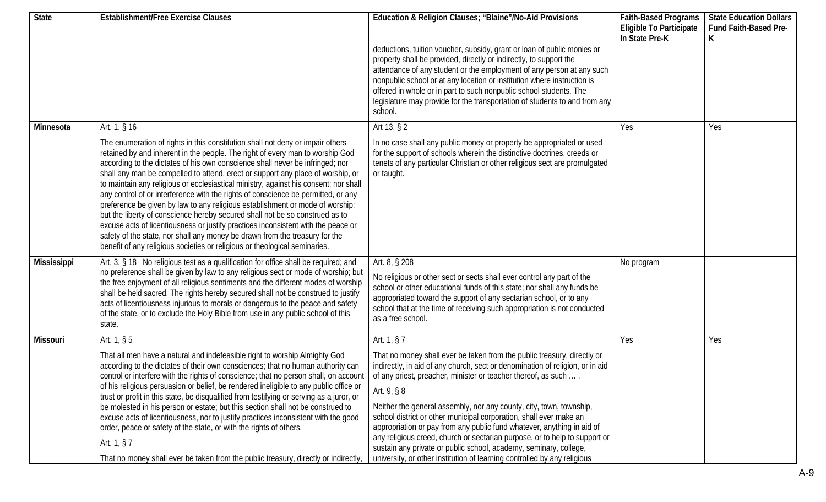| <b>State</b> | <b>Establishment/Free Exercise Clauses</b>                                                                                                                                                                                                                                                                                                                                                                                                                                                                                                                                                                                                                                                                                                                                                                                                                                                                                          | Education & Religion Clauses; "Blaine"/No-Aid Provisions                                                                                                                                                                                                                                                                                                                                                                                                                                                                                      | <b>Faith-Based Programs</b><br><b>Eligible To Participate</b><br>In State Pre-K | <b>State Education Dollars</b><br>Fund Faith-Based Pre-<br>К |
|--------------|-------------------------------------------------------------------------------------------------------------------------------------------------------------------------------------------------------------------------------------------------------------------------------------------------------------------------------------------------------------------------------------------------------------------------------------------------------------------------------------------------------------------------------------------------------------------------------------------------------------------------------------------------------------------------------------------------------------------------------------------------------------------------------------------------------------------------------------------------------------------------------------------------------------------------------------|-----------------------------------------------------------------------------------------------------------------------------------------------------------------------------------------------------------------------------------------------------------------------------------------------------------------------------------------------------------------------------------------------------------------------------------------------------------------------------------------------------------------------------------------------|---------------------------------------------------------------------------------|--------------------------------------------------------------|
|              |                                                                                                                                                                                                                                                                                                                                                                                                                                                                                                                                                                                                                                                                                                                                                                                                                                                                                                                                     | deductions, tuition voucher, subsidy, grant or loan of public monies or<br>property shall be provided, directly or indirectly, to support the<br>attendance of any student or the employment of any person at any such<br>nonpublic school or at any location or institution where instruction is<br>offered in whole or in part to such nonpublic school students. The<br>legislature may provide for the transportation of students to and from any<br>school.                                                                              |                                                                                 |                                                              |
| Minnesota    | Art. 1, § 16                                                                                                                                                                                                                                                                                                                                                                                                                                                                                                                                                                                                                                                                                                                                                                                                                                                                                                                        | Art 13, § 2                                                                                                                                                                                                                                                                                                                                                                                                                                                                                                                                   | Yes                                                                             | Yes                                                          |
|              | The enumeration of rights in this constitution shall not deny or impair others<br>retained by and inherent in the people. The right of every man to worship God<br>according to the dictates of his own conscience shall never be infringed; nor<br>shall any man be compelled to attend, erect or support any place of worship, or<br>to maintain any religious or ecclesiastical ministry, against his consent; nor shall<br>any control of or interference with the rights of conscience be permitted, or any<br>preference be given by law to any religious establishment or mode of worship;<br>but the liberty of conscience hereby secured shall not be so construed as to<br>excuse acts of licentiousness or justify practices inconsistent with the peace or<br>safety of the state, nor shall any money be drawn from the treasury for the<br>benefit of any religious societies or religious or theological seminaries. | In no case shall any public money or property be appropriated or used<br>for the support of schools wherein the distinctive doctrines, creeds or<br>tenets of any particular Christian or other religious sect are promulgated<br>or taught.                                                                                                                                                                                                                                                                                                  |                                                                                 |                                                              |
| Mississippi  | Art. 3, § 18 No religious test as a qualification for office shall be required; and<br>no preference shall be given by law to any religious sect or mode of worship; but<br>the free enjoyment of all religious sentiments and the different modes of worship<br>shall be held sacred. The rights hereby secured shall not be construed to justify<br>acts of licentiousness injurious to morals or dangerous to the peace and safety<br>of the state, or to exclude the Holy Bible from use in any public school of this<br>state.                                                                                                                                                                                                                                                                                                                                                                                                 | Art. 8, § 208<br>No religious or other sect or sects shall ever control any part of the<br>school or other educational funds of this state; nor shall any funds be<br>appropriated toward the support of any sectarian school, or to any<br>school that at the time of receiving such appropriation is not conducted<br>as a free school.                                                                                                                                                                                                     | No program                                                                      |                                                              |
| Missouri     | Art. 1, § 5                                                                                                                                                                                                                                                                                                                                                                                                                                                                                                                                                                                                                                                                                                                                                                                                                                                                                                                         | Art. 1, § 7                                                                                                                                                                                                                                                                                                                                                                                                                                                                                                                                   | Yes                                                                             | Yes                                                          |
|              | That all men have a natural and indefeasible right to worship Almighty God<br>according to the dictates of their own consciences; that no human authority can<br>control or interfere with the rights of conscience; that no person shall, on account<br>of his religious persuasion or belief, be rendered ineligible to any public office or<br>trust or profit in this state, be disqualified from testifying or serving as a juror, or<br>be molested in his person or estate; but this section shall not be construed to<br>excuse acts of licentiousness, nor to justify practices inconsistent with the good<br>order, peace or safety of the state, or with the rights of others.<br>Art. 1, § 7                                                                                                                                                                                                                            | That no money shall ever be taken from the public treasury, directly or<br>indirectly, in aid of any church, sect or denomination of religion, or in aid<br>of any priest, preacher, minister or teacher thereof, as such<br>Art. 9, § 8<br>Neither the general assembly, nor any county, city, town, township,<br>school district or other municipal corporation, shall ever make an<br>appropriation or pay from any public fund whatever, anything in aid of<br>any religious creed, church or sectarian purpose, or to help to support or |                                                                                 |                                                              |
|              | That no money shall ever be taken from the public treasury, directly or indirectly,                                                                                                                                                                                                                                                                                                                                                                                                                                                                                                                                                                                                                                                                                                                                                                                                                                                 | sustain any private or public school, academy, seminary, college,<br>university, or other institution of learning controlled by any religious                                                                                                                                                                                                                                                                                                                                                                                                 |                                                                                 |                                                              |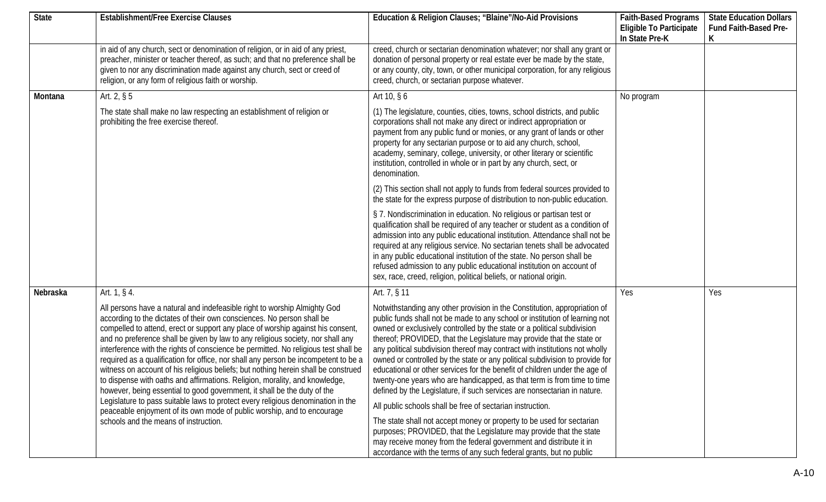| <b>State</b> | <b>Establishment/Free Exercise Clauses</b>                                                                                                                                                                                                                                                                                                                                                                                                                                                                                                                                                                                                                                                                                                                                                                                                                                                                                                                       | Education & Religion Clauses; "Blaine"/No-Aid Provisions                                                                                                                                                                                                                                                                                                                                                                                                                                                                                                                                                                                                                                                                                                                                                                                                                                                                                                                                                                                                                    | <b>Faith-Based Programs</b><br><b>Eligible To Participate</b><br>In State Pre-K | <b>State Education Dollars</b><br>Fund Faith-Based Pre-<br>К |
|--------------|------------------------------------------------------------------------------------------------------------------------------------------------------------------------------------------------------------------------------------------------------------------------------------------------------------------------------------------------------------------------------------------------------------------------------------------------------------------------------------------------------------------------------------------------------------------------------------------------------------------------------------------------------------------------------------------------------------------------------------------------------------------------------------------------------------------------------------------------------------------------------------------------------------------------------------------------------------------|-----------------------------------------------------------------------------------------------------------------------------------------------------------------------------------------------------------------------------------------------------------------------------------------------------------------------------------------------------------------------------------------------------------------------------------------------------------------------------------------------------------------------------------------------------------------------------------------------------------------------------------------------------------------------------------------------------------------------------------------------------------------------------------------------------------------------------------------------------------------------------------------------------------------------------------------------------------------------------------------------------------------------------------------------------------------------------|---------------------------------------------------------------------------------|--------------------------------------------------------------|
|              | in aid of any church, sect or denomination of religion, or in aid of any priest,<br>preacher, minister or teacher thereof, as such; and that no preference shall be<br>given to nor any discrimination made against any church, sect or creed of<br>religion, or any form of religious faith or worship.                                                                                                                                                                                                                                                                                                                                                                                                                                                                                                                                                                                                                                                         | creed, church or sectarian denomination whatever; nor shall any grant or<br>donation of personal property or real estate ever be made by the state,<br>or any county, city, town, or other municipal corporation, for any religious<br>creed, church, or sectarian purpose whatever.                                                                                                                                                                                                                                                                                                                                                                                                                                                                                                                                                                                                                                                                                                                                                                                        |                                                                                 |                                                              |
| Montana      | Art. 2, § 5                                                                                                                                                                                                                                                                                                                                                                                                                                                                                                                                                                                                                                                                                                                                                                                                                                                                                                                                                      | Art 10, § 6                                                                                                                                                                                                                                                                                                                                                                                                                                                                                                                                                                                                                                                                                                                                                                                                                                                                                                                                                                                                                                                                 | No program                                                                      |                                                              |
|              | The state shall make no law respecting an establishment of religion or<br>prohibiting the free exercise thereof.                                                                                                                                                                                                                                                                                                                                                                                                                                                                                                                                                                                                                                                                                                                                                                                                                                                 | (1) The legislature, counties, cities, towns, school districts, and public<br>corporations shall not make any direct or indirect appropriation or<br>payment from any public fund or monies, or any grant of lands or other<br>property for any sectarian purpose or to aid any church, school,<br>academy, seminary, college, university, or other literary or scientific<br>institution, controlled in whole or in part by any church, sect, or<br>denomination.                                                                                                                                                                                                                                                                                                                                                                                                                                                                                                                                                                                                          |                                                                                 |                                                              |
|              |                                                                                                                                                                                                                                                                                                                                                                                                                                                                                                                                                                                                                                                                                                                                                                                                                                                                                                                                                                  | (2) This section shall not apply to funds from federal sources provided to<br>the state for the express purpose of distribution to non-public education.                                                                                                                                                                                                                                                                                                                                                                                                                                                                                                                                                                                                                                                                                                                                                                                                                                                                                                                    |                                                                                 |                                                              |
|              |                                                                                                                                                                                                                                                                                                                                                                                                                                                                                                                                                                                                                                                                                                                                                                                                                                                                                                                                                                  | § 7. Nondiscrimination in education. No religious or partisan test or<br>qualification shall be required of any teacher or student as a condition of<br>admission into any public educational institution. Attendance shall not be<br>required at any religious service. No sectarian tenets shall be advocated<br>in any public educational institution of the state. No person shall be<br>refused admission to any public educational institution on account of<br>sex, race, creed, religion, political beliefs, or national origin.                                                                                                                                                                                                                                                                                                                                                                                                                                                                                                                                    |                                                                                 |                                                              |
| Nebraska     | Art. 1, § 4.                                                                                                                                                                                                                                                                                                                                                                                                                                                                                                                                                                                                                                                                                                                                                                                                                                                                                                                                                     | Art. 7, § 11                                                                                                                                                                                                                                                                                                                                                                                                                                                                                                                                                                                                                                                                                                                                                                                                                                                                                                                                                                                                                                                                | Yes                                                                             | Yes                                                          |
|              | All persons have a natural and indefeasible right to worship Almighty God<br>according to the dictates of their own consciences. No person shall be<br>compelled to attend, erect or support any place of worship against his consent,<br>and no preference shall be given by law to any religious society, nor shall any<br>interference with the rights of conscience be permitted. No religious test shall be<br>required as a qualification for office, nor shall any person be incompetent to be a<br>witness on account of his religious beliefs; but nothing herein shall be construed<br>to dispense with oaths and affirmations. Religion, morality, and knowledge,<br>however, being essential to good government, it shall be the duty of the<br>Legislature to pass suitable laws to protect every religious denomination in the<br>peaceable enjoyment of its own mode of public worship, and to encourage<br>schools and the means of instruction. | Notwithstanding any other provision in the Constitution, appropriation of<br>public funds shall not be made to any school or institution of learning not<br>owned or exclusively controlled by the state or a political subdivision<br>thereof; PROVIDED, that the Legislature may provide that the state or<br>any political subdivision thereof may contract with institutions not wholly<br>owned or controlled by the state or any political subdivision to provide for<br>educational or other services for the benefit of children under the age of<br>twenty-one years who are handicapped, as that term is from time to time<br>defined by the Legislature, if such services are nonsectarian in nature.<br>All public schools shall be free of sectarian instruction.<br>The state shall not accept money or property to be used for sectarian<br>purposes; PROVIDED, that the Legislature may provide that the state<br>may receive money from the federal government and distribute it in<br>accordance with the terms of any such federal grants, but no public |                                                                                 |                                                              |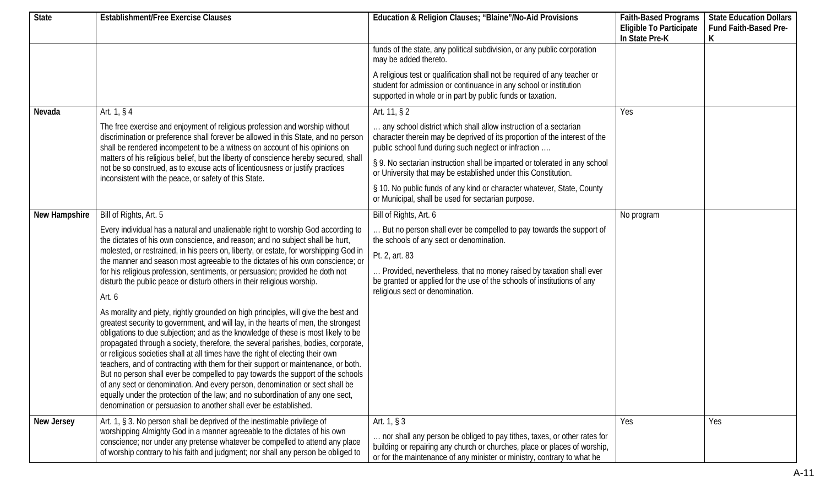| <b>State</b>  | <b>Establishment/Free Exercise Clauses</b>                                                                                                                                                                                                                                                                                                                                                                                                                                                                                                                                                                                                                                                                                                                                                                                                         | Education & Religion Clauses; "Blaine"/No-Aid Provisions                                                                                                                                                                                                                                                                 | <b>Faith-Based Programs</b><br><b>Eligible To Participate</b><br>In State Pre-K | <b>State Education Dollars</b><br>Fund Faith-Based Pre-<br>К |
|---------------|----------------------------------------------------------------------------------------------------------------------------------------------------------------------------------------------------------------------------------------------------------------------------------------------------------------------------------------------------------------------------------------------------------------------------------------------------------------------------------------------------------------------------------------------------------------------------------------------------------------------------------------------------------------------------------------------------------------------------------------------------------------------------------------------------------------------------------------------------|--------------------------------------------------------------------------------------------------------------------------------------------------------------------------------------------------------------------------------------------------------------------------------------------------------------------------|---------------------------------------------------------------------------------|--------------------------------------------------------------|
|               |                                                                                                                                                                                                                                                                                                                                                                                                                                                                                                                                                                                                                                                                                                                                                                                                                                                    | funds of the state, any political subdivision, or any public corporation<br>may be added thereto.                                                                                                                                                                                                                        |                                                                                 |                                                              |
|               |                                                                                                                                                                                                                                                                                                                                                                                                                                                                                                                                                                                                                                                                                                                                                                                                                                                    | A religious test or qualification shall not be required of any teacher or<br>student for admission or continuance in any school or institution<br>supported in whole or in part by public funds or taxation.                                                                                                             |                                                                                 |                                                              |
| Nevada        | Art. 1, § 4                                                                                                                                                                                                                                                                                                                                                                                                                                                                                                                                                                                                                                                                                                                                                                                                                                        | Art. 11, § 2                                                                                                                                                                                                                                                                                                             | Yes                                                                             |                                                              |
|               | The free exercise and enjoyment of religious profession and worship without<br>discrimination or preference shall forever be allowed in this State, and no person<br>shall be rendered incompetent to be a witness on account of his opinions on                                                                                                                                                                                                                                                                                                                                                                                                                                                                                                                                                                                                   | any school district which shall allow instruction of a sectarian<br>character therein may be deprived of its proportion of the interest of the<br>public school fund during such neglect or infraction                                                                                                                   |                                                                                 |                                                              |
|               | matters of his religious belief, but the liberty of conscience hereby secured, shall<br>not be so construed, as to excuse acts of licentiousness or justify practices<br>inconsistent with the peace, or safety of this State.                                                                                                                                                                                                                                                                                                                                                                                                                                                                                                                                                                                                                     | § 9. No sectarian instruction shall be imparted or tolerated in any school<br>or University that may be established under this Constitution.                                                                                                                                                                             |                                                                                 |                                                              |
|               |                                                                                                                                                                                                                                                                                                                                                                                                                                                                                                                                                                                                                                                                                                                                                                                                                                                    | § 10. No public funds of any kind or character whatever, State, County<br>or Municipal, shall be used for sectarian purpose.                                                                                                                                                                                             |                                                                                 |                                                              |
| New Hampshire | Bill of Rights, Art. 5                                                                                                                                                                                                                                                                                                                                                                                                                                                                                                                                                                                                                                                                                                                                                                                                                             | Bill of Rights, Art. 6                                                                                                                                                                                                                                                                                                   | No program                                                                      |                                                              |
|               | Every individual has a natural and unalienable right to worship God according to<br>the dictates of his own conscience, and reason; and no subject shall be hurt,<br>molested, or restrained, in his peers on, liberty, or estate, for worshipping God in<br>the manner and season most agreeable to the dictates of his own conscience; or<br>for his religious profession, sentiments, or persuasion; provided he doth not<br>disturb the public peace or disturb others in their religious worship.<br>Art. 6                                                                                                                                                                                                                                                                                                                                   | . But no person shall ever be compelled to pay towards the support of<br>the schools of any sect or denomination.<br>Pt. 2, art. 83<br>Provided, nevertheless, that no money raised by taxation shall ever<br>be granted or applied for the use of the schools of institutions of any<br>religious sect or denomination. |                                                                                 |                                                              |
|               | As morality and piety, rightly grounded on high principles, will give the best and<br>greatest security to government, and will lay, in the hearts of men, the strongest<br>obligations to due subjection; and as the knowledge of these is most likely to be<br>propagated through a society, therefore, the several parishes, bodies, corporate,<br>or religious societies shall at all times have the right of electing their own<br>teachers, and of contracting with them for their support or maintenance, or both.<br>But no person shall ever be compelled to pay towards the support of the schools<br>of any sect or denomination. And every person, denomination or sect shall be<br>equally under the protection of the law; and no subordination of any one sect,<br>denomination or persuasion to another shall ever be established. |                                                                                                                                                                                                                                                                                                                          |                                                                                 |                                                              |
| New Jersey    | Art. 1, § 3. No person shall be deprived of the inestimable privilege of<br>worshipping Almighty God in a manner agreeable to the dictates of his own<br>conscience; nor under any pretense whatever be compelled to attend any place<br>of worship contrary to his faith and judgment; nor shall any person be obliged to                                                                                                                                                                                                                                                                                                                                                                                                                                                                                                                         | Art. 1, § 3<br>nor shall any person be obliged to pay tithes, taxes, or other rates for<br>building or repairing any church or churches, place or places of worship,<br>or for the maintenance of any minister or ministry, contrary to what he                                                                          | Yes                                                                             | Yes                                                          |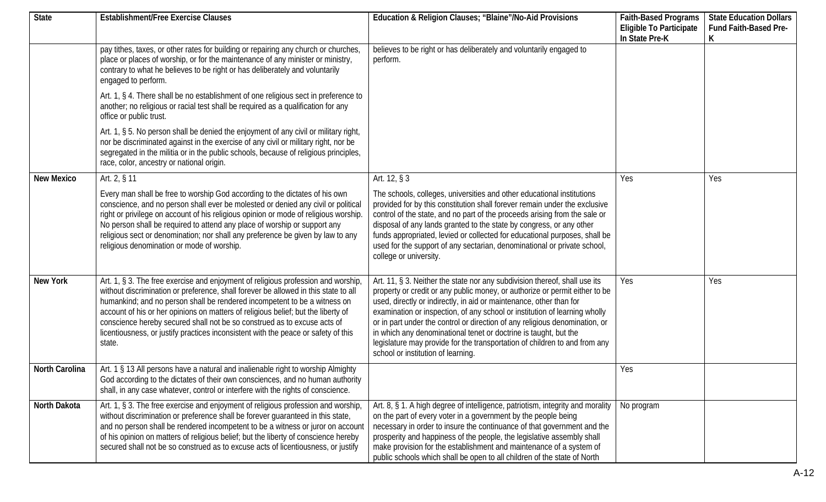| <b>State</b>      | <b>Establishment/Free Exercise Clauses</b>                                                                                                                                                                                                                                                                                                                                                                                                                                                                             | Education & Religion Clauses; "Blaine"/No-Aid Provisions                                                                                                                                                                                                                                                                                                                                                                                                                                                                                                                              | <b>Faith-Based Programs</b><br><b>Eligible To Participate</b><br>In State Pre-K | <b>State Education Dollars</b><br>Fund Faith-Based Pre-<br>К |
|-------------------|------------------------------------------------------------------------------------------------------------------------------------------------------------------------------------------------------------------------------------------------------------------------------------------------------------------------------------------------------------------------------------------------------------------------------------------------------------------------------------------------------------------------|---------------------------------------------------------------------------------------------------------------------------------------------------------------------------------------------------------------------------------------------------------------------------------------------------------------------------------------------------------------------------------------------------------------------------------------------------------------------------------------------------------------------------------------------------------------------------------------|---------------------------------------------------------------------------------|--------------------------------------------------------------|
|                   | pay tithes, taxes, or other rates for building or repairing any church or churches,<br>place or places of worship, or for the maintenance of any minister or ministry,<br>contrary to what he believes to be right or has deliberately and voluntarily<br>engaged to perform.                                                                                                                                                                                                                                          | believes to be right or has deliberately and voluntarily engaged to<br>perform.                                                                                                                                                                                                                                                                                                                                                                                                                                                                                                       |                                                                                 |                                                              |
|                   | Art. 1, § 4. There shall be no establishment of one religious sect in preference to<br>another; no religious or racial test shall be required as a qualification for any<br>office or public trust.                                                                                                                                                                                                                                                                                                                    |                                                                                                                                                                                                                                                                                                                                                                                                                                                                                                                                                                                       |                                                                                 |                                                              |
|                   | Art. 1, § 5. No person shall be denied the enjoyment of any civil or military right,<br>nor be discriminated against in the exercise of any civil or military right, nor be<br>segregated in the militia or in the public schools, because of religious principles,<br>race, color, ancestry or national origin.                                                                                                                                                                                                       |                                                                                                                                                                                                                                                                                                                                                                                                                                                                                                                                                                                       |                                                                                 |                                                              |
| <b>New Mexico</b> | Art. 2, § 11                                                                                                                                                                                                                                                                                                                                                                                                                                                                                                           | Art. 12, § 3                                                                                                                                                                                                                                                                                                                                                                                                                                                                                                                                                                          | Yes                                                                             | Yes                                                          |
|                   | Every man shall be free to worship God according to the dictates of his own<br>conscience, and no person shall ever be molested or denied any civil or political<br>right or privilege on account of his religious opinion or mode of religious worship.<br>No person shall be required to attend any place of worship or support any<br>religious sect or denomination; nor shall any preference be given by law to any<br>religious denomination or mode of worship.                                                 | The schools, colleges, universities and other educational institutions<br>provided for by this constitution shall forever remain under the exclusive<br>control of the state, and no part of the proceeds arising from the sale or<br>disposal of any lands granted to the state by congress, or any other<br>funds appropriated, levied or collected for educational purposes, shall be<br>used for the support of any sectarian, denominational or private school,<br>college or university.                                                                                        |                                                                                 |                                                              |
| <b>New York</b>   | Art. 1, § 3. The free exercise and enjoyment of religious profession and worship,<br>without discrimination or preference, shall forever be allowed in this state to all<br>humankind; and no person shall be rendered incompetent to be a witness on<br>account of his or her opinions on matters of religious belief; but the liberty of<br>conscience hereby secured shall not be so construed as to excuse acts of<br>licentiousness, or justify practices inconsistent with the peace or safety of this<br>state. | Art. 11, § 3. Neither the state nor any subdivision thereof, shall use its<br>property or credit or any public money, or authorize or permit either to be<br>used, directly or indirectly, in aid or maintenance, other than for<br>examination or inspection, of any school or institution of learning wholly<br>or in part under the control or direction of any religious denomination, or<br>in which any denominational tenet or doctrine is taught, but the<br>legislature may provide for the transportation of children to and from any<br>school or institution of learning. | Yes                                                                             | Yes                                                          |
| North Carolina    | Art. 1 § 13 All persons have a natural and inalienable right to worship Almighty<br>God according to the dictates of their own consciences, and no human authority<br>shall, in any case whatever, control or interfere with the rights of conscience.                                                                                                                                                                                                                                                                 |                                                                                                                                                                                                                                                                                                                                                                                                                                                                                                                                                                                       | Yes                                                                             |                                                              |
| North Dakota      | Art. 1, § 3. The free exercise and enjoyment of religious profession and worship,<br>without discrimination or preference shall be forever guaranteed in this state,<br>and no person shall be rendered incompetent to be a witness or juror on account<br>of his opinion on matters of religious belief; but the liberty of conscience hereby<br>secured shall not be so construed as to excuse acts of licentiousness, or justify                                                                                    | Art. 8, § 1. A high degree of intelligence, patriotism, integrity and morality<br>on the part of every voter in a government by the people being<br>necessary in order to insure the continuance of that government and the<br>prosperity and happiness of the people, the legislative assembly shall<br>make provision for the establishment and maintenance of a system of<br>public schools which shall be open to all children of the state of North                                                                                                                              | No program                                                                      |                                                              |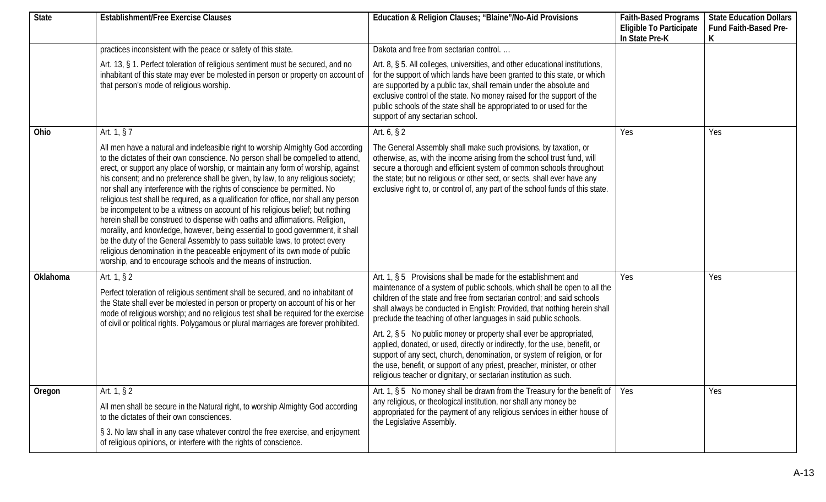| <b>State</b> | <b>Establishment/Free Exercise Clauses</b>                                                                                                                                                                                                                                                                                                                                                                                                                                                                                                                                                                                                                                                                                                                                                                                                                                                                                                                                                             | Education & Religion Clauses; "Blaine"/No-Aid Provisions                                                                                                                                                                                                                                                                                                                                                             | <b>Faith-Based Programs</b><br><b>Eligible To Participate</b><br>In State Pre-K | <b>State Education Dollars</b><br>Fund Faith-Based Pre-<br>K |
|--------------|--------------------------------------------------------------------------------------------------------------------------------------------------------------------------------------------------------------------------------------------------------------------------------------------------------------------------------------------------------------------------------------------------------------------------------------------------------------------------------------------------------------------------------------------------------------------------------------------------------------------------------------------------------------------------------------------------------------------------------------------------------------------------------------------------------------------------------------------------------------------------------------------------------------------------------------------------------------------------------------------------------|----------------------------------------------------------------------------------------------------------------------------------------------------------------------------------------------------------------------------------------------------------------------------------------------------------------------------------------------------------------------------------------------------------------------|---------------------------------------------------------------------------------|--------------------------------------------------------------|
|              | practices inconsistent with the peace or safety of this state.                                                                                                                                                                                                                                                                                                                                                                                                                                                                                                                                                                                                                                                                                                                                                                                                                                                                                                                                         | Dakota and free from sectarian control                                                                                                                                                                                                                                                                                                                                                                               |                                                                                 |                                                              |
|              | Art. 13, § 1. Perfect toleration of religious sentiment must be secured, and no<br>inhabitant of this state may ever be molested in person or property on account of<br>that person's mode of religious worship.                                                                                                                                                                                                                                                                                                                                                                                                                                                                                                                                                                                                                                                                                                                                                                                       | Art. 8, § 5. All colleges, universities, and other educational institutions,<br>for the support of which lands have been granted to this state, or which<br>are supported by a public tax, shall remain under the absolute and<br>exclusive control of the state. No money raised for the support of the<br>public schools of the state shall be appropriated to or used for the<br>support of any sectarian school. |                                                                                 |                                                              |
| Ohio         | Art. 1, § 7                                                                                                                                                                                                                                                                                                                                                                                                                                                                                                                                                                                                                                                                                                                                                                                                                                                                                                                                                                                            | Art. 6, § 2                                                                                                                                                                                                                                                                                                                                                                                                          | Yes                                                                             | Yes                                                          |
|              | All men have a natural and indefeasible right to worship Almighty God according<br>to the dictates of their own conscience. No person shall be compelled to attend,<br>erect, or support any place of worship, or maintain any form of worship, against<br>his consent; and no preference shall be given, by law, to any religious society;<br>nor shall any interference with the rights of conscience be permitted. No<br>religious test shall be required, as a qualification for office, nor shall any person<br>be incompetent to be a witness on account of his religious belief; but nothing<br>herein shall be construed to dispense with oaths and affirmations. Religion,<br>morality, and knowledge, however, being essential to good government, it shall<br>be the duty of the General Assembly to pass suitable laws, to protect every<br>religious denomination in the peaceable enjoyment of its own mode of public<br>worship, and to encourage schools and the means of instruction. | The General Assembly shall make such provisions, by taxation, or<br>otherwise, as, with the income arising from the school trust fund, will<br>secure a thorough and efficient system of common schools throughout<br>the state; but no religious or other sect, or sects, shall ever have any<br>exclusive right to, or control of, any part of the school funds of this state.                                     |                                                                                 |                                                              |
| Oklahoma     | Art. 1, § 2<br>Perfect toleration of religious sentiment shall be secured, and no inhabitant of<br>the State shall ever be molested in person or property on account of his or her<br>mode of religious worship; and no religious test shall be required for the exercise                                                                                                                                                                                                                                                                                                                                                                                                                                                                                                                                                                                                                                                                                                                              | Art. 1, § 5 Provisions shall be made for the establishment and<br>maintenance of a system of public schools, which shall be open to all the<br>children of the state and free from sectarian control; and said schools<br>shall always be conducted in English: Provided, that nothing herein shall<br>preclude the teaching of other languages in said public schools.                                              | Yes                                                                             | Yes                                                          |
|              | of civil or political rights. Polygamous or plural marriages are forever prohibited.                                                                                                                                                                                                                                                                                                                                                                                                                                                                                                                                                                                                                                                                                                                                                                                                                                                                                                                   | Art. 2, $\S 5$ No public money or property shall ever be appropriated,<br>applied, donated, or used, directly or indirectly, for the use, benefit, or<br>support of any sect, church, denomination, or system of religion, or for<br>the use, benefit, or support of any priest, preacher, minister, or other<br>religious teacher or dignitary, or sectarian institution as such.                                   |                                                                                 |                                                              |
| Oregon       | Art. 1, § 2                                                                                                                                                                                                                                                                                                                                                                                                                                                                                                                                                                                                                                                                                                                                                                                                                                                                                                                                                                                            | Art. $1, 55$ No money shall be drawn from the Treasury for the benefit of<br>any religious, or theological institution, nor shall any money be<br>appropriated for the payment of any religious services in either house of<br>the Legislative Assembly.                                                                                                                                                             | Yes                                                                             | Yes                                                          |
|              | All men shall be secure in the Natural right, to worship Almighty God according<br>to the dictates of their own consciences.                                                                                                                                                                                                                                                                                                                                                                                                                                                                                                                                                                                                                                                                                                                                                                                                                                                                           |                                                                                                                                                                                                                                                                                                                                                                                                                      |                                                                                 |                                                              |
|              | § 3. No law shall in any case whatever control the free exercise, and enjoyment<br>of religious opinions, or interfere with the rights of conscience.                                                                                                                                                                                                                                                                                                                                                                                                                                                                                                                                                                                                                                                                                                                                                                                                                                                  |                                                                                                                                                                                                                                                                                                                                                                                                                      |                                                                                 |                                                              |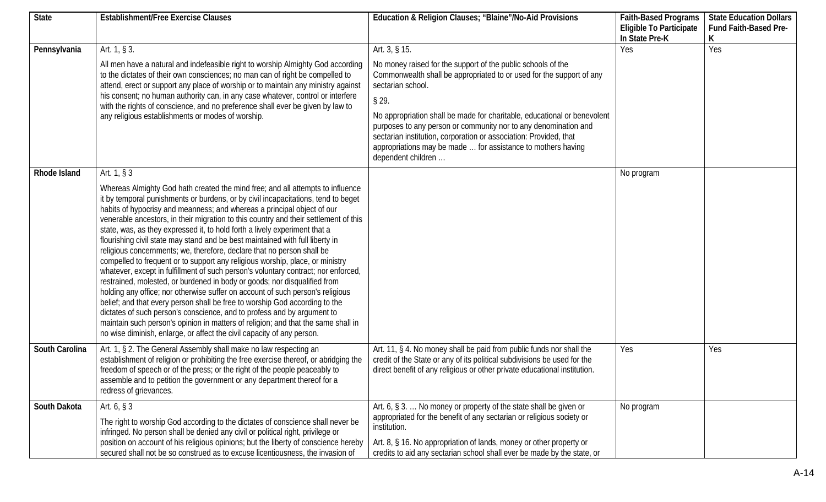| <b>State</b>        | <b>Establishment/Free Exercise Clauses</b>                                                                                                                                                                                                                                                                                                                                                                                                                                                                                                                                                                                                                                                                                                                                                                                                                                                                                                                                                                                                                                                                                                                                                                                                                    | Education & Religion Clauses; "Blaine"/No-Aid Provisions                                                                                                                                                                                                                                                                                                                                                                                                                                        | <b>Faith-Based Programs</b><br><b>Eligible To Participate</b><br>In State Pre-K | <b>State Education Dollars</b><br><b>Fund Faith-Based Pre-</b><br>К |
|---------------------|---------------------------------------------------------------------------------------------------------------------------------------------------------------------------------------------------------------------------------------------------------------------------------------------------------------------------------------------------------------------------------------------------------------------------------------------------------------------------------------------------------------------------------------------------------------------------------------------------------------------------------------------------------------------------------------------------------------------------------------------------------------------------------------------------------------------------------------------------------------------------------------------------------------------------------------------------------------------------------------------------------------------------------------------------------------------------------------------------------------------------------------------------------------------------------------------------------------------------------------------------------------|-------------------------------------------------------------------------------------------------------------------------------------------------------------------------------------------------------------------------------------------------------------------------------------------------------------------------------------------------------------------------------------------------------------------------------------------------------------------------------------------------|---------------------------------------------------------------------------------|---------------------------------------------------------------------|
| Pennsylvania        | Art. 1, § 3.<br>All men have a natural and indefeasible right to worship Almighty God according<br>to the dictates of their own consciences; no man can of right be compelled to<br>attend, erect or support any place of worship or to maintain any ministry against<br>his consent; no human authority can, in any case whatever, control or interfere<br>with the rights of conscience, and no preference shall ever be given by law to<br>any religious establishments or modes of worship.                                                                                                                                                                                                                                                                                                                                                                                                                                                                                                                                                                                                                                                                                                                                                               | Art. 3, § 15.<br>No money raised for the support of the public schools of the<br>Commonwealth shall be appropriated to or used for the support of any<br>sectarian school.<br>$§$ 29.<br>No appropriation shall be made for charitable, educational or benevolent<br>purposes to any person or community nor to any denomination and<br>sectarian institution, corporation or association: Provided, that<br>appropriations may be made  for assistance to mothers having<br>dependent children | Yes                                                                             | Yes                                                                 |
| <b>Rhode Island</b> | Art. 1, § 3<br>Whereas Almighty God hath created the mind free; and all attempts to influence<br>it by temporal punishments or burdens, or by civil incapacitations, tend to beget<br>habits of hypocrisy and meanness; and whereas a principal object of our<br>venerable ancestors, in their migration to this country and their settlement of this<br>state, was, as they expressed it, to hold forth a lively experiment that a<br>flourishing civil state may stand and be best maintained with full liberty in<br>religious concernments; we, therefore, declare that no person shall be<br>compelled to frequent or to support any religious worship, place, or ministry<br>whatever, except in fulfillment of such person's voluntary contract; nor enforced,<br>restrained, molested, or burdened in body or goods; nor disqualified from<br>holding any office; nor otherwise suffer on account of such person's religious<br>belief; and that every person shall be free to worship God according to the<br>dictates of such person's conscience, and to profess and by argument to<br>maintain such person's opinion in matters of religion; and that the same shall in<br>no wise diminish, enlarge, or affect the civil capacity of any person. |                                                                                                                                                                                                                                                                                                                                                                                                                                                                                                 | No program                                                                      |                                                                     |
| South Carolina      | Art. 1, § 2. The General Assembly shall make no law respecting an<br>establishment of religion or prohibiting the free exercise thereof, or abridging the<br>freedom of speech or of the press; or the right of the people peaceably to<br>assemble and to petition the government or any department thereof for a<br>redress of grievances.                                                                                                                                                                                                                                                                                                                                                                                                                                                                                                                                                                                                                                                                                                                                                                                                                                                                                                                  | Art. 11, § 4. No money shall be paid from public funds nor shall the<br>credit of the State or any of its political subdivisions be used for the<br>direct benefit of any religious or other private educational institution.                                                                                                                                                                                                                                                                   | Yes                                                                             | Yes                                                                 |
| South Dakota        | Art. $6, § 3$<br>The right to worship God according to the dictates of conscience shall never be<br>infringed. No person shall be denied any civil or political right, privilege or<br>position on account of his religious opinions; but the liberty of conscience hereby<br>secured shall not be so construed as to excuse licentiousness, the invasion of                                                                                                                                                                                                                                                                                                                                                                                                                                                                                                                                                                                                                                                                                                                                                                                                                                                                                                  | Art. 6, § 3.  No money or property of the state shall be given or<br>appropriated for the benefit of any sectarian or religious society or<br>institution.<br>Art. 8, § 16. No appropriation of lands, money or other property or<br>credits to aid any sectarian school shall ever be made by the state, or                                                                                                                                                                                    | No program                                                                      |                                                                     |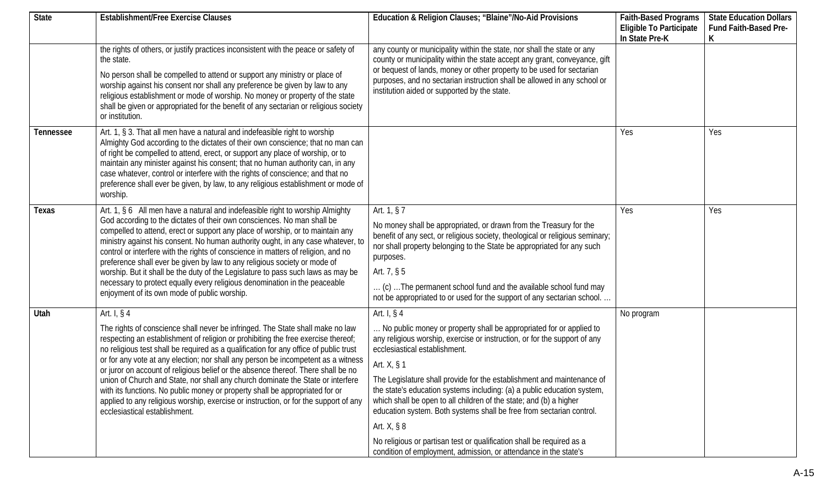| <b>State</b>     | <b>Establishment/Free Exercise Clauses</b>                                                                                                                                                                                                                                                                                                                                                                                                                                                                                                                                                                                                                                                                                                        | Education & Religion Clauses; "Blaine"/No-Aid Provisions                                                                                                                                                                                                                                                                                                                                                                                                                                                                                                                                                                                                                          | <b>Faith-Based Programs</b><br><b>Eligible To Participate</b><br>In State Pre-K | <b>State Education Dollars</b><br>Fund Faith-Based Pre-<br>К |
|------------------|---------------------------------------------------------------------------------------------------------------------------------------------------------------------------------------------------------------------------------------------------------------------------------------------------------------------------------------------------------------------------------------------------------------------------------------------------------------------------------------------------------------------------------------------------------------------------------------------------------------------------------------------------------------------------------------------------------------------------------------------------|-----------------------------------------------------------------------------------------------------------------------------------------------------------------------------------------------------------------------------------------------------------------------------------------------------------------------------------------------------------------------------------------------------------------------------------------------------------------------------------------------------------------------------------------------------------------------------------------------------------------------------------------------------------------------------------|---------------------------------------------------------------------------------|--------------------------------------------------------------|
|                  | the rights of others, or justify practices inconsistent with the peace or safety of<br>the state.<br>No person shall be compelled to attend or support any ministry or place of<br>worship against his consent nor shall any preference be given by law to any<br>religious establishment or mode of worship. No money or property of the state<br>shall be given or appropriated for the benefit of any sectarian or religious society<br>or institution.                                                                                                                                                                                                                                                                                        | any county or municipality within the state, nor shall the state or any<br>county or municipality within the state accept any grant, conveyance, gift<br>or bequest of lands, money or other property to be used for sectarian<br>purposes, and no sectarian instruction shall be allowed in any school or<br>institution aided or supported by the state.                                                                                                                                                                                                                                                                                                                        |                                                                                 |                                                              |
| <b>Tennessee</b> | Art. 1, § 3. That all men have a natural and indefeasible right to worship<br>Almighty God according to the dictates of their own conscience; that no man can<br>of right be compelled to attend, erect, or support any place of worship, or to<br>maintain any minister against his consent; that no human authority can, in any<br>case whatever, control or interfere with the rights of conscience; and that no<br>preference shall ever be given, by law, to any religious establishment or mode of<br>worship.                                                                                                                                                                                                                              |                                                                                                                                                                                                                                                                                                                                                                                                                                                                                                                                                                                                                                                                                   | Yes                                                                             | Yes                                                          |
| Texas            | Art. 1, § 6 All men have a natural and indefeasible right to worship Almighty<br>God according to the dictates of their own consciences. No man shall be<br>compelled to attend, erect or support any place of worship, or to maintain any<br>ministry against his consent. No human authority ought, in any case whatever, to<br>control or interfere with the rights of conscience in matters of religion, and no<br>preference shall ever be given by law to any religious society or mode of<br>worship. But it shall be the duty of the Legislature to pass such laws as may be<br>necessary to protect equally every religious denomination in the peaceable<br>enjoyment of its own mode of public worship.                                | Art. 1, § 7<br>No money shall be appropriated, or drawn from the Treasury for the<br>benefit of any sect, or religious society, theological or religious seminary;<br>nor shall property belonging to the State be appropriated for any such<br>purposes.<br>Art. 7, § 5<br>(c)  The permanent school fund and the available school fund may<br>not be appropriated to or used for the support of any sectarian school                                                                                                                                                                                                                                                            | Yes                                                                             | Yes                                                          |
| Utah             | Art. I, § 4<br>The rights of conscience shall never be infringed. The State shall make no law<br>respecting an establishment of religion or prohibiting the free exercise thereof;<br>no religious test shall be required as a qualification for any office of public trust<br>or for any vote at any election; nor shall any person be incompetent as a witness<br>or juror on account of religious belief or the absence thereof. There shall be no<br>union of Church and State, nor shall any church dominate the State or interfere<br>with its functions. No public money or property shall be appropriated for or<br>applied to any religious worship, exercise or instruction, or for the support of any<br>ecclesiastical establishment. | Art. I, § 4<br>No public money or property shall be appropriated for or applied to<br>any religious worship, exercise or instruction, or for the support of any<br>ecclesiastical establishment.<br>Art. X, § 1<br>The Legislature shall provide for the establishment and maintenance of<br>the state's education systems including: (a) a public education system,<br>which shall be open to all children of the state; and (b) a higher<br>education system. Both systems shall be free from sectarian control.<br>Art. $X, \S$ 8<br>No religious or partisan test or qualification shall be required as a<br>condition of employment, admission, or attendance in the state's | No program                                                                      |                                                              |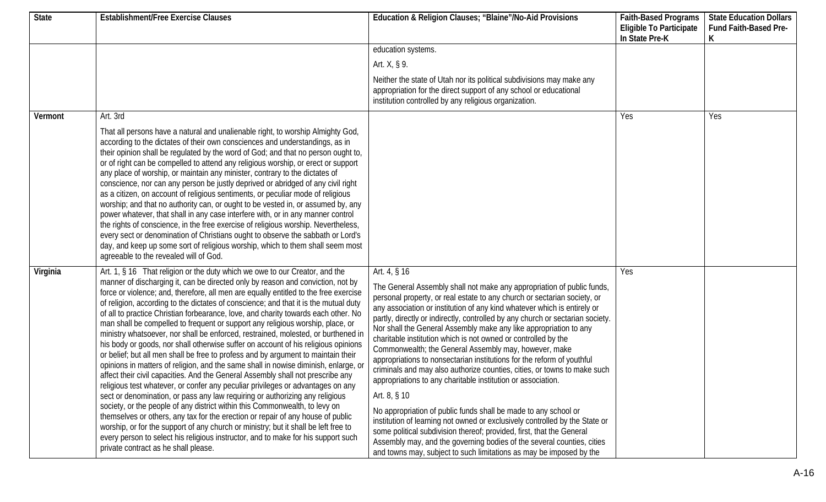| <b>State</b> | <b>Establishment/Free Exercise Clauses</b>                                                                                                                                                                                                                                                                                                                                                                                                                                                                                                                                                                                                                                                                                                                                                                                                                                                                                                                                                                                                                                                                                                                                                                                                                                                                                                                                                                                                                                                                                | Education & Religion Clauses; "Blaine"/No-Aid Provisions                                                                                                                                                                                                                                                                                                                                                                                                                                                                                                                                                                                                                                                                                                                                                                                                                                                                                                                                                                                                                                                                                           | <b>Faith-Based Programs</b><br><b>Eligible To Participate</b><br>In State Pre-K | <b>State Education Dollars</b><br>Fund Faith-Based Pre-<br>К |
|--------------|---------------------------------------------------------------------------------------------------------------------------------------------------------------------------------------------------------------------------------------------------------------------------------------------------------------------------------------------------------------------------------------------------------------------------------------------------------------------------------------------------------------------------------------------------------------------------------------------------------------------------------------------------------------------------------------------------------------------------------------------------------------------------------------------------------------------------------------------------------------------------------------------------------------------------------------------------------------------------------------------------------------------------------------------------------------------------------------------------------------------------------------------------------------------------------------------------------------------------------------------------------------------------------------------------------------------------------------------------------------------------------------------------------------------------------------------------------------------------------------------------------------------------|----------------------------------------------------------------------------------------------------------------------------------------------------------------------------------------------------------------------------------------------------------------------------------------------------------------------------------------------------------------------------------------------------------------------------------------------------------------------------------------------------------------------------------------------------------------------------------------------------------------------------------------------------------------------------------------------------------------------------------------------------------------------------------------------------------------------------------------------------------------------------------------------------------------------------------------------------------------------------------------------------------------------------------------------------------------------------------------------------------------------------------------------------|---------------------------------------------------------------------------------|--------------------------------------------------------------|
|              |                                                                                                                                                                                                                                                                                                                                                                                                                                                                                                                                                                                                                                                                                                                                                                                                                                                                                                                                                                                                                                                                                                                                                                                                                                                                                                                                                                                                                                                                                                                           | education systems.                                                                                                                                                                                                                                                                                                                                                                                                                                                                                                                                                                                                                                                                                                                                                                                                                                                                                                                                                                                                                                                                                                                                 |                                                                                 |                                                              |
|              |                                                                                                                                                                                                                                                                                                                                                                                                                                                                                                                                                                                                                                                                                                                                                                                                                                                                                                                                                                                                                                                                                                                                                                                                                                                                                                                                                                                                                                                                                                                           | Art. X, § 9.                                                                                                                                                                                                                                                                                                                                                                                                                                                                                                                                                                                                                                                                                                                                                                                                                                                                                                                                                                                                                                                                                                                                       |                                                                                 |                                                              |
|              |                                                                                                                                                                                                                                                                                                                                                                                                                                                                                                                                                                                                                                                                                                                                                                                                                                                                                                                                                                                                                                                                                                                                                                                                                                                                                                                                                                                                                                                                                                                           | Neither the state of Utah nor its political subdivisions may make any<br>appropriation for the direct support of any school or educational<br>institution controlled by any religious organization.                                                                                                                                                                                                                                                                                                                                                                                                                                                                                                                                                                                                                                                                                                                                                                                                                                                                                                                                                |                                                                                 |                                                              |
| Vermont      | Art. 3rd                                                                                                                                                                                                                                                                                                                                                                                                                                                                                                                                                                                                                                                                                                                                                                                                                                                                                                                                                                                                                                                                                                                                                                                                                                                                                                                                                                                                                                                                                                                  |                                                                                                                                                                                                                                                                                                                                                                                                                                                                                                                                                                                                                                                                                                                                                                                                                                                                                                                                                                                                                                                                                                                                                    | Yes                                                                             | Yes                                                          |
|              | That all persons have a natural and unalienable right, to worship Almighty God,<br>according to the dictates of their own consciences and understandings, as in<br>their opinion shall be regulated by the word of God; and that no person ought to,<br>or of right can be compelled to attend any religious worship, or erect or support<br>any place of worship, or maintain any minister, contrary to the dictates of<br>conscience, nor can any person be justly deprived or abridged of any civil right<br>as a citizen, on account of religious sentiments, or peculiar mode of religious<br>worship; and that no authority can, or ought to be vested in, or assumed by, any<br>power whatever, that shall in any case interfere with, or in any manner control<br>the rights of conscience, in the free exercise of religious worship. Nevertheless,<br>every sect or denomination of Christians ought to observe the sabbath or Lord's<br>day, and keep up some sort of religious worship, which to them shall seem most<br>agreeable to the revealed will of God.                                                                                                                                                                                                                                                                                                                                                                                                                                               |                                                                                                                                                                                                                                                                                                                                                                                                                                                                                                                                                                                                                                                                                                                                                                                                                                                                                                                                                                                                                                                                                                                                                    |                                                                                 |                                                              |
| Virginia     | Art. 1, § 16 That religion or the duty which we owe to our Creator, and the<br>manner of discharging it, can be directed only by reason and conviction, not by<br>force or violence; and, therefore, all men are equally entitled to the free exercise<br>of religion, according to the dictates of conscience; and that it is the mutual duty<br>of all to practice Christian forbearance, love, and charity towards each other. No<br>man shall be compelled to frequent or support any religious worship, place, or<br>ministry whatsoever, nor shall be enforced, restrained, molested, or burthened in<br>his body or goods, nor shall otherwise suffer on account of his religious opinions<br>or belief; but all men shall be free to profess and by argument to maintain their<br>opinions in matters of religion, and the same shall in nowise diminish, enlarge, or<br>affect their civil capacities. And the General Assembly shall not prescribe any<br>religious test whatever, or confer any peculiar privileges or advantages on any<br>sect or denomination, or pass any law requiring or authorizing any religious<br>society, or the people of any district within this Commonwealth, to levy on<br>themselves or others, any tax for the erection or repair of any house of public<br>worship, or for the support of any church or ministry; but it shall be left free to<br>every person to select his religious instructor, and to make for his support such<br>private contract as he shall please. | Art. 4, § 16<br>The General Assembly shall not make any appropriation of public funds,<br>personal property, or real estate to any church or sectarian society, or<br>any association or institution of any kind whatever which is entirely or<br>partly, directly or indirectly, controlled by any church or sectarian society.<br>Nor shall the General Assembly make any like appropriation to any<br>charitable institution which is not owned or controlled by the<br>Commonwealth; the General Assembly may, however, make<br>appropriations to nonsectarian institutions for the reform of youthful<br>criminals and may also authorize counties, cities, or towns to make such<br>appropriations to any charitable institution or association.<br>Art. 8, § 10<br>No appropriation of public funds shall be made to any school or<br>institution of learning not owned or exclusively controlled by the State or<br>some political subdivision thereof; provided, first, that the General<br>Assembly may, and the governing bodies of the several counties, cities<br>and towns may, subject to such limitations as may be imposed by the | Yes                                                                             |                                                              |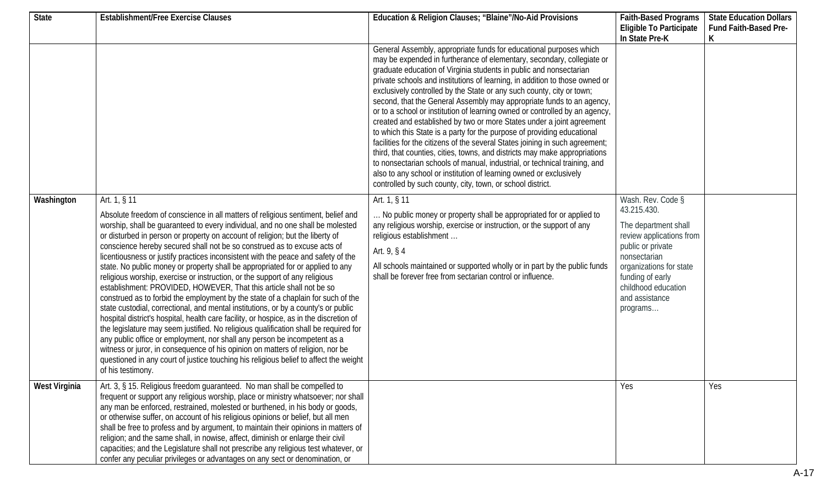| <b>State</b>  | <b>Establishment/Free Exercise Clauses</b>                                                                                                                                                                                                                                                                                                                                                                                                                                                                                                                                                                                                                                                                                                                                                                                                                                                                                                                                                                                                                                                                                                                                                                                                                                                                             | Education & Religion Clauses; "Blaine"/No-Aid Provisions                                                                                                                                                                                                                                                                                                                                                                                                                                                                                                                                                                                                                                                                                                                                                                                                                                                                                                                                                                                                              | <b>Faith-Based Programs</b><br><b>Eligible To Participate</b><br>In State Pre-K                                                                                                                                               | <b>State Education Dollars</b><br>Fund Faith-Based Pre-<br>K |
|---------------|------------------------------------------------------------------------------------------------------------------------------------------------------------------------------------------------------------------------------------------------------------------------------------------------------------------------------------------------------------------------------------------------------------------------------------------------------------------------------------------------------------------------------------------------------------------------------------------------------------------------------------------------------------------------------------------------------------------------------------------------------------------------------------------------------------------------------------------------------------------------------------------------------------------------------------------------------------------------------------------------------------------------------------------------------------------------------------------------------------------------------------------------------------------------------------------------------------------------------------------------------------------------------------------------------------------------|-----------------------------------------------------------------------------------------------------------------------------------------------------------------------------------------------------------------------------------------------------------------------------------------------------------------------------------------------------------------------------------------------------------------------------------------------------------------------------------------------------------------------------------------------------------------------------------------------------------------------------------------------------------------------------------------------------------------------------------------------------------------------------------------------------------------------------------------------------------------------------------------------------------------------------------------------------------------------------------------------------------------------------------------------------------------------|-------------------------------------------------------------------------------------------------------------------------------------------------------------------------------------------------------------------------------|--------------------------------------------------------------|
|               |                                                                                                                                                                                                                                                                                                                                                                                                                                                                                                                                                                                                                                                                                                                                                                                                                                                                                                                                                                                                                                                                                                                                                                                                                                                                                                                        | General Assembly, appropriate funds for educational purposes which<br>may be expended in furtherance of elementary, secondary, collegiate or<br>graduate education of Virginia students in public and nonsectarian<br>private schools and institutions of learning, in addition to those owned or<br>exclusively controlled by the State or any such county, city or town;<br>second, that the General Assembly may appropriate funds to an agency,<br>or to a school or institution of learning owned or controlled by an agency,<br>created and established by two or more States under a joint agreement<br>to which this State is a party for the purpose of providing educational<br>facilities for the citizens of the several States joining in such agreement;<br>third, that counties, cities, towns, and districts may make appropriations<br>to nonsectarian schools of manual, industrial, or technical training, and<br>also to any school or institution of learning owned or exclusively<br>controlled by such county, city, town, or school district. |                                                                                                                                                                                                                               |                                                              |
| Washington    | Art. 1, § 11<br>Absolute freedom of conscience in all matters of religious sentiment, belief and<br>worship, shall be guaranteed to every individual, and no one shall be molested<br>or disturbed in person or property on account of religion; but the liberty of<br>conscience hereby secured shall not be so construed as to excuse acts of<br>licentiousness or justify practices inconsistent with the peace and safety of the<br>state. No public money or property shall be appropriated for or applied to any<br>religious worship, exercise or instruction, or the support of any religious<br>establishment: PROVIDED, HOWEVER, That this article shall not be so<br>construed as to forbid the employment by the state of a chaplain for such of the<br>state custodial, correctional, and mental institutions, or by a county's or public<br>hospital district's hospital, health care facility, or hospice, as in the discretion of<br>the legislature may seem justified. No religious qualification shall be required for<br>any public office or employment, nor shall any person be incompetent as a<br>witness or juror, in consequence of his opinion on matters of religion, nor be<br>questioned in any court of justice touching his religious belief to affect the weight<br>of his testimony. | Art. 1, § 11<br>No public money or property shall be appropriated for or applied to<br>any religious worship, exercise or instruction, or the support of any<br>religious establishment<br>Art. 9, § 4<br>All schools maintained or supported wholly or in part by the public funds<br>shall be forever free from sectarian control or influence.                                                                                                                                                                                                                                                                                                                                                                                                                                                                                                                                                                                                                                                                                                                     | Wash. Rev. Code §<br>43.215.430.<br>The department shall<br>review applications from<br>public or private<br>nonsectarian<br>organizations for state<br>funding of early<br>childhood education<br>and assistance<br>programs |                                                              |
| West Virginia | Art. 3, § 15. Religious freedom guaranteed. No man shall be compelled to<br>frequent or support any religious worship, place or ministry whatsoever; nor shall<br>any man be enforced, restrained, molested or burthened, in his body or goods,<br>or otherwise suffer, on account of his religious opinions or belief, but all men<br>shall be free to profess and by argument, to maintain their opinions in matters of<br>religion; and the same shall, in nowise, affect, diminish or enlarge their civil<br>capacities; and the Legislature shall not prescribe any religious test whatever, or<br>confer any peculiar privileges or advantages on any sect or denomination, or                                                                                                                                                                                                                                                                                                                                                                                                                                                                                                                                                                                                                                   |                                                                                                                                                                                                                                                                                                                                                                                                                                                                                                                                                                                                                                                                                                                                                                                                                                                                                                                                                                                                                                                                       | Yes                                                                                                                                                                                                                           | Yes                                                          |